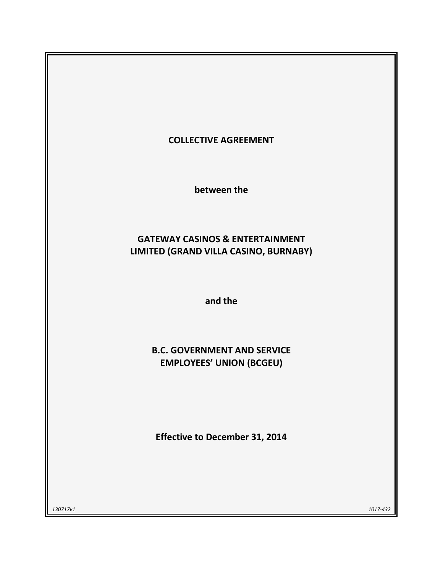

**between the**

# **GATEWAY CASINOS & ENTERTAINMENT LIMITED (GRAND VILLA CASINO, BURNABY)**

**and the**

# **B.C. GOVERNMENT AND SERVICE EMPLOYEES' UNION (BCGEU)**

**Effective to December 31, 2014**

*130717v1 1017-432*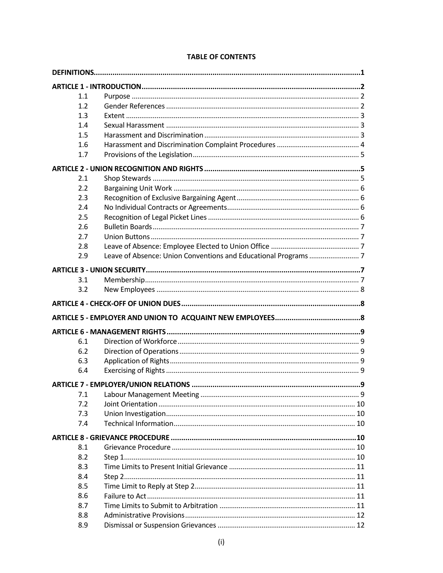| 1.1 |  |
|-----|--|
| 1.2 |  |
| 1.3 |  |
| 1.4 |  |
| 1.5 |  |
| 1.6 |  |
| 1.7 |  |
|     |  |
| 2.1 |  |
| 2.2 |  |
| 2.3 |  |
| 2.4 |  |
| 2.5 |  |
| 2.6 |  |
| 2.7 |  |
| 2.8 |  |
| 2.9 |  |
|     |  |
| 3.1 |  |
| 3.2 |  |
|     |  |
|     |  |
|     |  |
| 6.1 |  |
| 6.2 |  |
| 6.3 |  |
| 6.4 |  |
|     |  |
| 7.1 |  |
| 7.2 |  |
| 7.3 |  |
| 7.4 |  |
|     |  |
| 8.1 |  |
| 8.2 |  |
| 8.3 |  |
| 8.4 |  |
| 8.5 |  |
| 8.6 |  |
| 8.7 |  |
| 8.8 |  |
|     |  |

# **TABLE OF CONTENTS**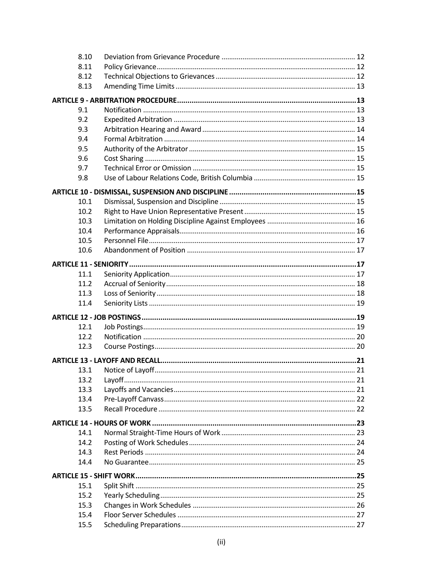| 8.10              |  |
|-------------------|--|
| 8.11              |  |
| 8.12              |  |
| 8.13              |  |
|                   |  |
| 9.1               |  |
| 9.2               |  |
| 9.3               |  |
| 9.4               |  |
|                   |  |
| 9.5               |  |
| 9.6               |  |
| 9.7               |  |
| 9.8               |  |
|                   |  |
| 10.1              |  |
| 10.2              |  |
| 10.3              |  |
| 10.4              |  |
| 10.5              |  |
| 10.6              |  |
|                   |  |
| 11.1              |  |
| 11.2              |  |
|                   |  |
| 11.3              |  |
| 11.4              |  |
|                   |  |
| 12.1              |  |
| 12.2 <sub>2</sub> |  |
| 12.3              |  |
|                   |  |
| 13.1              |  |
| 13.2              |  |
| 13.3              |  |
| 13.4              |  |
| 13.5              |  |
|                   |  |
|                   |  |
| 14.1              |  |
| 14.2              |  |
| 14.3              |  |
| 14.4              |  |
|                   |  |
| 15.1              |  |
| 15.2              |  |
| 15.3              |  |
| 15.4              |  |
| 15.5              |  |
|                   |  |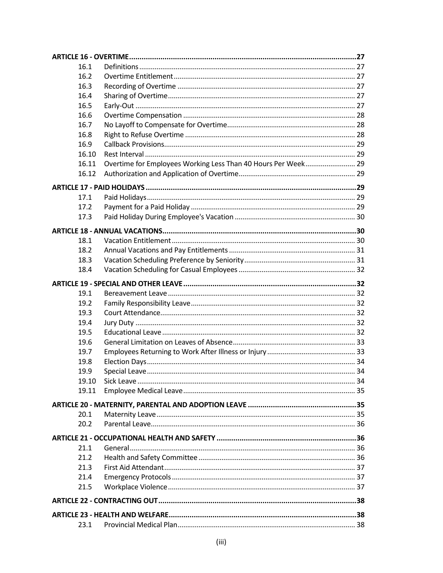| 16.1  |                                                               |  |
|-------|---------------------------------------------------------------|--|
| 16.2  |                                                               |  |
| 16.3  |                                                               |  |
| 16.4  |                                                               |  |
| 16.5  |                                                               |  |
| 16.6  |                                                               |  |
| 16.7  |                                                               |  |
| 16.8  |                                                               |  |
| 16.9  |                                                               |  |
| 16.10 |                                                               |  |
| 16.11 | Overtime for Employees Working Less Than 40 Hours Per Week 29 |  |
| 16.12 |                                                               |  |
|       |                                                               |  |
| 17.1  |                                                               |  |
| 17.2  |                                                               |  |
| 17.3  |                                                               |  |
|       |                                                               |  |
|       |                                                               |  |
| 18.1  |                                                               |  |
| 18.2  |                                                               |  |
| 18.3  |                                                               |  |
| 18.4  |                                                               |  |
|       |                                                               |  |
| 19.1  |                                                               |  |
| 19.2  |                                                               |  |
| 19.3  |                                                               |  |
| 19.4  |                                                               |  |
| 19.5  |                                                               |  |
| 19.6  |                                                               |  |
| 19.7  |                                                               |  |
| 19.8  |                                                               |  |
| 19.9  |                                                               |  |
| 19.10 |                                                               |  |
| 19.11 |                                                               |  |
|       |                                                               |  |
| 20.1  |                                                               |  |
| 20.2  |                                                               |  |
|       |                                                               |  |
| 21.1  |                                                               |  |
| 21.2  |                                                               |  |
| 21.3  |                                                               |  |
| 21.4  |                                                               |  |
| 21.5  |                                                               |  |
|       |                                                               |  |
|       |                                                               |  |
|       |                                                               |  |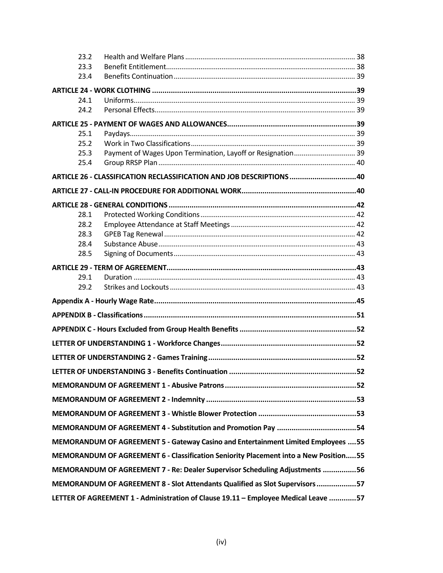| 23.2 |                                                                                      |  |
|------|--------------------------------------------------------------------------------------|--|
| 23.3 |                                                                                      |  |
| 23.4 |                                                                                      |  |
|      |                                                                                      |  |
| 24.1 |                                                                                      |  |
| 24.2 |                                                                                      |  |
|      |                                                                                      |  |
| 25.1 |                                                                                      |  |
| 25.2 |                                                                                      |  |
| 25.3 |                                                                                      |  |
| 25.4 |                                                                                      |  |
|      | ARTICLE 26 - CLASSIFICATION RECLASSIFICATION AND JOB DESCRIPTIONS 40                 |  |
|      |                                                                                      |  |
|      |                                                                                      |  |
| 28.1 |                                                                                      |  |
| 28.2 |                                                                                      |  |
| 28.3 |                                                                                      |  |
| 28.4 |                                                                                      |  |
| 28.5 |                                                                                      |  |
|      |                                                                                      |  |
| 29.1 |                                                                                      |  |
| 29.2 |                                                                                      |  |
|      |                                                                                      |  |
|      |                                                                                      |  |
|      |                                                                                      |  |
|      |                                                                                      |  |
|      |                                                                                      |  |
|      |                                                                                      |  |
|      |                                                                                      |  |
|      |                                                                                      |  |
|      |                                                                                      |  |
|      |                                                                                      |  |
|      | MEMORANDUM OF AGREEMENT 5 - Gateway Casino and Entertainment Limited Employees  55   |  |
|      | MEMORANDUM OF AGREEMENT 6 - Classification Seniority Placement into a New Position55 |  |
|      | MEMORANDUM OF AGREEMENT 7 - Re: Dealer Supervisor Scheduling Adjustments 56          |  |
|      | MEMORANDUM OF AGREEMENT 8 - Slot Attendants Qualified as Slot Supervisors 57         |  |
|      | LETTER OF AGREEMENT 1 - Administration of Clause 19.11 - Employee Medical Leave 57   |  |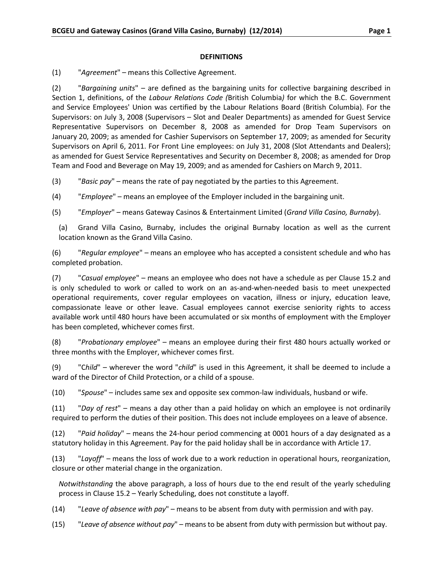#### **DEFINITIONS**

<span id="page-5-0"></span>(1) "*Agreement*" – means this Collective Agreement.

(2) "*Bargaining units*" – are defined as the bargaining units for collective bargaining described in Section 1, definitions, of the *Labour Relations Code (*British Columbia*)* for which the B.C. Government and Service Employees' Union was certified by the Labour Relations Board (British Columbia). For the Supervisors: on July 3, 2008 (Supervisors – Slot and Dealer Departments) as amended for Guest Service Representative Supervisors on December 8, 2008 as amended for Drop Team Supervisors on January 20, 2009; as amended for Cashier Supervisors on September 17, 2009; as amended for Security Supervisors on April 6, 2011. For Front Line employees: on July 31, 2008 (Slot Attendants and Dealers); as amended for Guest Service Representatives and Security on December 8, 2008; as amended for Drop Team and Food and Beverage on May 19, 2009; and as amended for Cashiers on March 9, 2011.

(3) "*Basic pay*" – means the rate of pay negotiated by the parties to this Agreement.

(4) "*Employee*" – means an employee of the Employer included in the bargaining unit.

(5) "*Employer*" – means Gateway Casinos & Entertainment Limited (*Grand Villa Casino, Burnaby*).

(a) Grand Villa Casino, Burnaby, includes the original Burnaby location as well as the current location known as the Grand Villa Casino.

(6) "*Regular employee*" – means an employee who has accepted a consistent schedule and who has completed probation.

(7) "*Casual employee*" – means an employee who does not have a schedule as per Clause 15.2 and is only scheduled to work or called to work on an as-and-when-needed basis to meet unexpected operational requirements, cover regular employees on vacation, illness or injury, education leave, compassionate leave or other leave. Casual employees cannot exercise seniority rights to access available work until 480 hours have been accumulated or six months of employment with the Employer has been completed, whichever comes first.

(8) "*Probationary employee*" – means an employee during their first 480 hours actually worked or three months with the Employer, whichever comes first.

(9) "C*hild*" – wherever the word "*child*" is used in this Agreement, it shall be deemed to include a ward of the Director of Child Protection, or a child of a spouse.

(10) "*Spouse*" – includes same sex and opposite sex common-law individuals, husband or wife.

(11) "*Day of rest*" – means a day other than a paid holiday on which an employee is not ordinarily required to perform the duties of their position. This does not include employees on a leave of absence.

(12) "*Paid holiday*" – means the 24-hour period commencing at 0001 hours of a day designated as a statutory holiday in this Agreement. Pay for the paid holiday shall be in accordance with Article 17.

(13) "*Layoff*" – means the loss of work due to a work reduction in operational hours, reorganization, closure or other material change in the organization.

*Notwithstanding* the above paragraph, a loss of hours due to the end result of the yearly scheduling process in Clause 15.2 – Yearly Scheduling, does not constitute a layoff.

(14) "*Leave of absence with pay*" – means to be absent from duty with permission and with pay.

(15) "*Leave of absence without pay*" – means to be absent from duty with permission but without pay.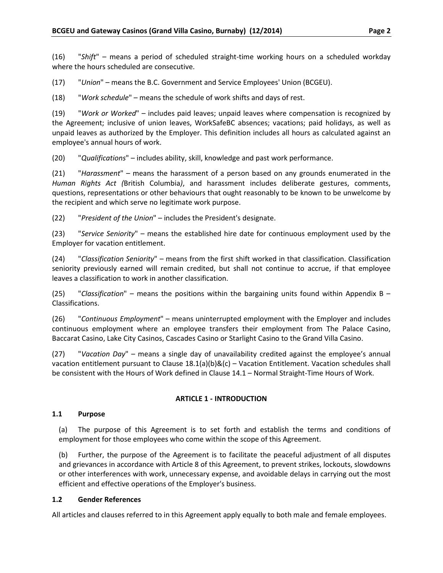(16) "*Shift*" – means a period of scheduled straight-time working hours on a scheduled workday where the hours scheduled are consecutive.

(17) "*Union*" – means the B.C. Government and Service Employees' Union (BCGEU).

(18) "*Work schedule*" – means the schedule of work shifts and days of rest.

(19) "*Work or Worked*" – includes paid leaves; unpaid leaves where compensation is recognized by the Agreement; inclusive of union leaves, WorkSafeBC absences; vacations; paid holidays, as well as unpaid leaves as authorized by the Employer. This definition includes all hours as calculated against an employee's annual hours of work.

(20) "*Qualifications*" – includes ability, skill, knowledge and past work performance.

(21) "*Harassment*" – means the harassment of a person based on any grounds enumerated in the *Human Rights Act (*British Columbia*)*, and harassment includes deliberate gestures, comments, questions, representations or other behaviours that ought reasonably to be known to be unwelcome by the recipient and which serve no legitimate work purpose.

(22) "*President of the Union*" – includes the President's designate.

(23) "*Service Seniority*" – means the established hire date for continuous employment used by the Employer for vacation entitlement.

(24) "*Classification Seniority*" – means from the first shift worked in that classification. Classification seniority previously earned will remain credited, but shall not continue to accrue, if that employee leaves a classification to work in another classification.

(25) "*Classification*" – means the positions within the bargaining units found within Appendix B – Classifications.

(26) "*Continuous Employment*" – means uninterrupted employment with the Employer and includes continuous employment where an employee transfers their employment from The Palace Casino, Baccarat Casino, Lake City Casinos, Cascades Casino or Starlight Casino to the Grand Villa Casino.

(27) "*Vacation Day*" – means a single day of unavailability credited against the employee's annual vacation entitlement pursuant to Clause 18.1(a)(b)&(c) – Vacation Entitlement. Vacation schedules shall be consistent with the Hours of Work defined in Clause 14.1 – Normal Straight-Time Hours of Work.

#### **ARTICLE 1 - INTRODUCTION**

#### <span id="page-6-1"></span><span id="page-6-0"></span>**1.1 Purpose**

(a) The purpose of this Agreement is to set forth and establish the terms and conditions of employment for those employees who come within the scope of this Agreement.

(b) Further, the purpose of the Agreement is to facilitate the peaceful adjustment of all disputes and grievances in accordance with Article 8 of this Agreement, to prevent strikes, lockouts, slowdowns or other interferences with work, unnecessary expense, and avoidable delays in carrying out the most efficient and effective operations of the Employer's business.

#### <span id="page-6-2"></span>**1.2 Gender References**

All articles and clauses referred to in this Agreement apply equally to both male and female employees.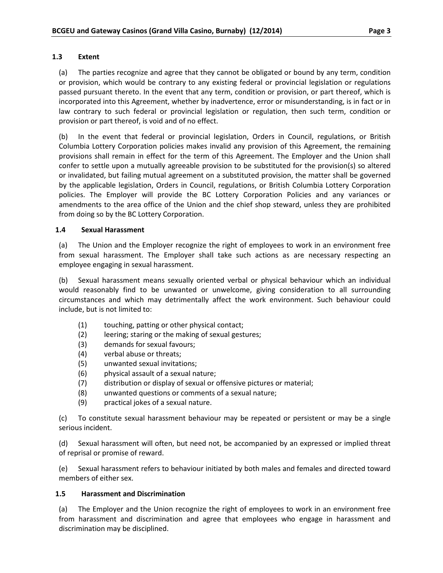#### <span id="page-7-0"></span>**1.3 Extent**

(a) The parties recognize and agree that they cannot be obligated or bound by any term, condition or provision, which would be contrary to any existing federal or provincial legislation or regulations passed pursuant thereto. In the event that any term, condition or provision, or part thereof, which is incorporated into this Agreement, whether by inadvertence, error or misunderstanding, is in fact or in law contrary to such federal or provincial legislation or regulation, then such term, condition or provision or part thereof, is void and of no effect.

(b) In the event that federal or provincial legislation, Orders in Council, regulations, or British Columbia Lottery Corporation policies makes invalid any provision of this Agreement, the remaining provisions shall remain in effect for the term of this Agreement. The Employer and the Union shall confer to settle upon a mutually agreeable provision to be substituted for the provision(s) so altered or invalidated, but failing mutual agreement on a substituted provision, the matter shall be governed by the applicable legislation, Orders in Council, regulations, or British Columbia Lottery Corporation policies. The Employer will provide the BC Lottery Corporation Policies and any variances or amendments to the area office of the Union and the chief shop steward, unless they are prohibited from doing so by the BC Lottery Corporation.

#### <span id="page-7-1"></span>**1.4 Sexual Harassment**

(a) The Union and the Employer recognize the right of employees to work in an environment free from sexual harassment. The Employer shall take such actions as are necessary respecting an employee engaging in sexual harassment.

(b) Sexual harassment means sexually oriented verbal or physical behaviour which an individual would reasonably find to be unwanted or unwelcome, giving consideration to all surrounding circumstances and which may detrimentally affect the work environment. Such behaviour could include, but is not limited to:

- (1) touching, patting or other physical contact;
- (2) leering; staring or the making of sexual gestures;
- (3) demands for sexual favours;
- (4) verbal abuse or threats;
- (5) unwanted sexual invitations;
- (6) physical assault of a sexual nature;
- (7) distribution or display of sexual or offensive pictures or material;
- (8) unwanted questions or comments of a sexual nature;
- (9) practical jokes of a sexual nature.

(c) To constitute sexual harassment behaviour may be repeated or persistent or may be a single serious incident.

(d) Sexual harassment will often, but need not, be accompanied by an expressed or implied threat of reprisal or promise of reward.

(e) Sexual harassment refers to behaviour initiated by both males and females and directed toward members of either sex.

#### <span id="page-7-2"></span>**1.5 Harassment and Discrimination**

(a) The Employer and the Union recognize the right of employees to work in an environment free from harassment and discrimination and agree that employees who engage in harassment and discrimination may be disciplined.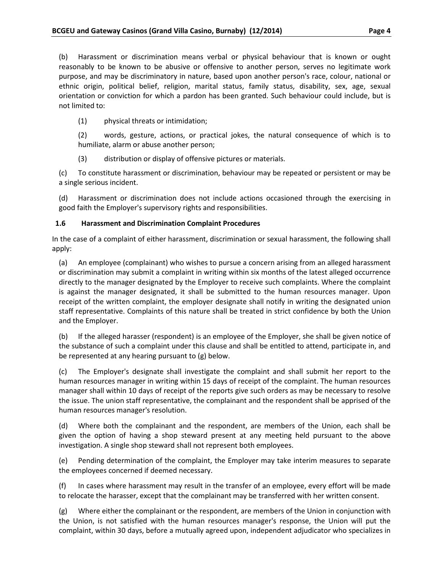(b) Harassment or discrimination means verbal or physical behaviour that is known or ought reasonably to be known to be abusive or offensive to another person, serves no legitimate work purpose, and may be discriminatory in nature, based upon another person's race, colour, national or ethnic origin, political belief, religion, marital status, family status, disability, sex, age, sexual orientation or conviction for which a pardon has been granted. Such behaviour could include, but is not limited to:

(1) physical threats or intimidation;

(2) words, gesture, actions, or practical jokes, the natural consequence of which is to humiliate, alarm or abuse another person;

(3) distribution or display of offensive pictures or materials.

(c) To constitute harassment or discrimination, behaviour may be repeated or persistent or may be a single serious incident.

(d) Harassment or discrimination does not include actions occasioned through the exercising in good faith the Employer's supervisory rights and responsibilities.

# <span id="page-8-0"></span>**1.6 Harassment and Discrimination Complaint Procedures**

In the case of a complaint of either harassment, discrimination or sexual harassment, the following shall apply:

(a) An employee (complainant) who wishes to pursue a concern arising from an alleged harassment or discrimination may submit a complaint in writing within six months of the latest alleged occurrence directly to the manager designated by the Employer to receive such complaints. Where the complaint is against the manager designated, it shall be submitted to the human resources manager. Upon receipt of the written complaint, the employer designate shall notify in writing the designated union staff representative. Complaints of this nature shall be treated in strict confidence by both the Union and the Employer.

(b) If the alleged harasser (respondent) is an employee of the Employer, she shall be given notice of the substance of such a complaint under this clause and shall be entitled to attend, participate in, and be represented at any hearing pursuant to (g) below.

(c) The Employer's designate shall investigate the complaint and shall submit her report to the human resources manager in writing within 15 days of receipt of the complaint. The human resources manager shall within 10 days of receipt of the reports give such orders as may be necessary to resolve the issue. The union staff representative, the complainant and the respondent shall be apprised of the human resources manager's resolution.

(d) Where both the complainant and the respondent, are members of the Union, each shall be given the option of having a shop steward present at any meeting held pursuant to the above investigation. A single shop steward shall not represent both employees.

(e) Pending determination of the complaint, the Employer may take interim measures to separate the employees concerned if deemed necessary.

(f) In cases where harassment may result in the transfer of an employee, every effort will be made to relocate the harasser, except that the complainant may be transferred with her written consent.

(g) Where either the complainant or the respondent, are members of the Union in conjunction with the Union, is not satisfied with the human resources manager's response, the Union will put the complaint, within 30 days, before a mutually agreed upon, independent adjudicator who specializes in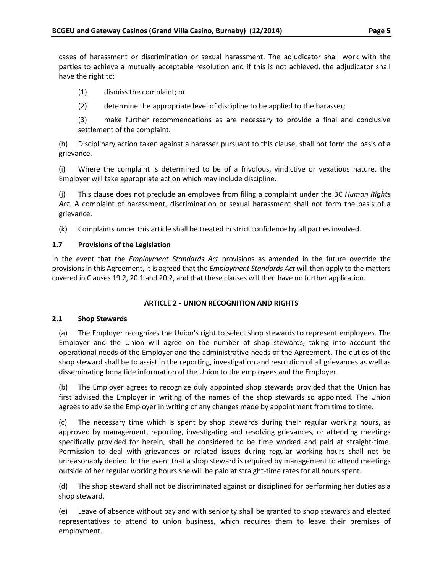cases of harassment or discrimination or sexual harassment. The adjudicator shall work with the parties to achieve a mutually acceptable resolution and if this is not achieved, the adjudicator shall have the right to:

(1) dismiss the complaint; or

(2) determine the appropriate level of discipline to be applied to the harasser;

(3) make further recommendations as are necessary to provide a final and conclusive settlement of the complaint.

(h) Disciplinary action taken against a harasser pursuant to this clause, shall not form the basis of a grievance.

(i) Where the complaint is determined to be of a frivolous, vindictive or vexatious nature, the Employer will take appropriate action which may include discipline.

(j) This clause does not preclude an employee from filing a complaint under the BC *Human Rights Act*. A complaint of harassment, discrimination or sexual harassment shall not form the basis of a grievance.

(k) Complaints under this article shall be treated in strict confidence by all parties involved.

# <span id="page-9-0"></span>**1.7 Provisions of the Legislation**

In the event that the *Employment Standards Act* provisions as amended in the future override the provisions in this Agreement, it is agreed that the *Employment Standards Act* will then apply to the matters covered in Clauses 19.2, 20.1 and 20.2, and that these clauses will then have no further application.

# **ARTICLE 2 - UNION RECOGNITION AND RIGHTS**

# <span id="page-9-2"></span><span id="page-9-1"></span>**2.1 Shop Stewards**

(a) The Employer recognizes the Union's right to select shop stewards to represent employees. The Employer and the Union will agree on the number of shop stewards, taking into account the operational needs of the Employer and the administrative needs of the Agreement. The duties of the shop steward shall be to assist in the reporting, investigation and resolution of all grievances as well as disseminating bona fide information of the Union to the employees and the Employer.

(b) The Employer agrees to recognize duly appointed shop stewards provided that the Union has first advised the Employer in writing of the names of the shop stewards so appointed. The Union agrees to advise the Employer in writing of any changes made by appointment from time to time.

(c) The necessary time which is spent by shop stewards during their regular working hours, as approved by management, reporting, investigating and resolving grievances, or attending meetings specifically provided for herein, shall be considered to be time worked and paid at straight-time. Permission to deal with grievances or related issues during regular working hours shall not be unreasonably denied. In the event that a shop steward is required by management to attend meetings outside of her regular working hours she will be paid at straight-time rates for all hours spent.

(d) The shop steward shall not be discriminated against or disciplined for performing her duties as a shop steward.

(e) Leave of absence without pay and with seniority shall be granted to shop stewards and elected representatives to attend to union business, which requires them to leave their premises of employment.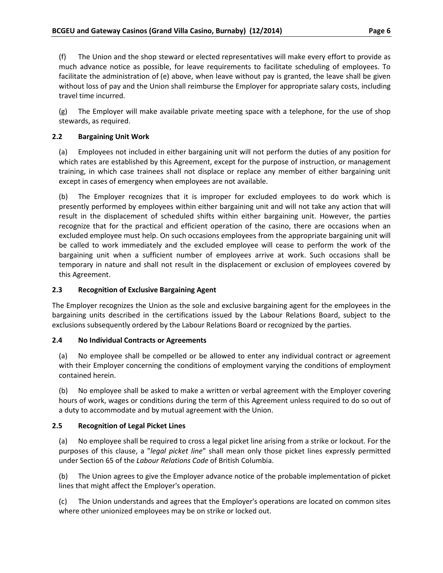(f) The Union and the shop steward or elected representatives will make every effort to provide as much advance notice as possible, for leave requirements to facilitate scheduling of employees. To facilitate the administration of (e) above, when leave without pay is granted, the leave shall be given without loss of pay and the Union shall reimburse the Employer for appropriate salary costs, including travel time incurred.

(g) The Employer will make available private meeting space with a telephone, for the use of shop stewards, as required.

# <span id="page-10-0"></span>**2.2 Bargaining Unit Work**

(a) Employees not included in either bargaining unit will not perform the duties of any position for which rates are established by this Agreement, except for the purpose of instruction, or management training, in which case trainees shall not displace or replace any member of either bargaining unit except in cases of emergency when employees are not available.

(b) The Employer recognizes that it is improper for excluded employees to do work which is presently performed by employees within either bargaining unit and will not take any action that will result in the displacement of scheduled shifts within either bargaining unit. However, the parties recognize that for the practical and efficient operation of the casino, there are occasions when an excluded employee must help. On such occasions employees from the appropriate bargaining unit will be called to work immediately and the excluded employee will cease to perform the work of the bargaining unit when a sufficient number of employees arrive at work. Such occasions shall be temporary in nature and shall not result in the displacement or exclusion of employees covered by this Agreement.

#### <span id="page-10-1"></span>**2.3 Recognition of Exclusive Bargaining Agent**

The Employer recognizes the Union as the sole and exclusive bargaining agent for the employees in the bargaining units described in the certifications issued by the Labour Relations Board, subject to the exclusions subsequently ordered by the Labour Relations Board or recognized by the parties.

#### <span id="page-10-2"></span>**2.4 No Individual Contracts or Agreements**

(a) No employee shall be compelled or be allowed to enter any individual contract or agreement with their Employer concerning the conditions of employment varying the conditions of employment contained herein.

(b) No employee shall be asked to make a written or verbal agreement with the Employer covering hours of work, wages or conditions during the term of this Agreement unless required to do so out of a duty to accommodate and by mutual agreement with the Union.

# <span id="page-10-3"></span>**2.5 Recognition of Legal Picket Lines**

(a) No employee shall be required to cross a legal picket line arising from a strike or lockout. For the purposes of this clause, a "*legal picket line*" shall mean only those picket lines expressly permitted under Section 65 of the *Labour Relations Code* of British Columbia.

(b) The Union agrees to give the Employer advance notice of the probable implementation of picket lines that might affect the Employer's operation.

(c) The Union understands and agrees that the Employer's operations are located on common sites where other unionized employees may be on strike or locked out.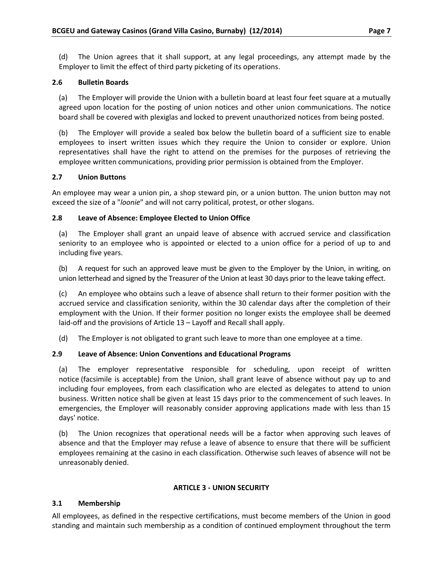(d) The Union agrees that it shall support, at any legal proceedings, any attempt made by the Employer to limit the effect of third party picketing of its operations.

### <span id="page-11-0"></span>**2.6 Bulletin Boards**

(a) The Employer will provide the Union with a bulletin board at least four feet square at a mutually agreed upon location for the posting of union notices and other union communications. The notice board shall be covered with plexiglas and locked to prevent unauthorized notices from being posted.

(b) The Employer will provide a sealed box below the bulletin board of a sufficient size to enable employees to insert written issues which they require the Union to consider or explore. Union representatives shall have the right to attend on the premises for the purposes of retrieving the employee written communications, providing prior permission is obtained from the Employer.

#### <span id="page-11-1"></span>**2.7 Union Buttons**

An employee may wear a union pin, a shop steward pin, or a union button. The union button may not exceed the size of a "*loonie*" and will not carry political, protest, or other slogans.

# <span id="page-11-2"></span>**2.8 Leave of Absence: Employee Elected to Union Office**

(a) The Employer shall grant an unpaid leave of absence with accrued service and classification seniority to an employee who is appointed or elected to a union office for a period of up to and including five years.

(b) A request for such an approved leave must be given to the Employer by the Union, in writing, on union letterhead and signed by the Treasurer of the Union at least 30 days prior to the leave taking effect.

(c) An employee who obtains such a leave of absence shall return to their former position with the accrued service and classification seniority, within the 30 calendar days after the completion of their employment with the Union. If their former position no longer exists the employee shall be deemed laid-off and the provisions of Article 13 – Layoff and Recall shall apply.

(d) The Employer is not obligated to grant such leave to more than one employee at a time.

# <span id="page-11-3"></span>**2.9 Leave of Absence: Union Conventions and Educational Programs**

(a) The employer representative responsible for scheduling, upon receipt of written notice (facsimile is acceptable) from the Union, shall grant leave of absence without pay up to and including four employees, from each classification who are elected as delegates to attend to union business. Written notice shall be given at least 15 days prior to the commencement of such leaves. In emergencies, the Employer will reasonably consider approving applications made with less than 15 days' notice.

(b) The Union recognizes that operational needs will be a factor when approving such leaves of absence and that the Employer may refuse a leave of absence to ensure that there will be sufficient employees remaining at the casino in each classification. Otherwise such leaves of absence will not be unreasonably denied.

#### **ARTICLE 3 - UNION SECURITY**

# <span id="page-11-5"></span><span id="page-11-4"></span>**3.1 Membership**

All employees, as defined in the respective certifications, must become members of the Union in good standing and maintain such membership as a condition of continued employment throughout the term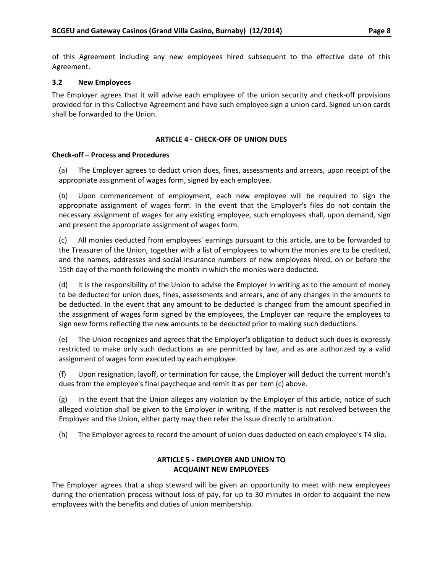of this Agreement including any new employees hired subsequent to the effective date of this Agreement.

#### <span id="page-12-0"></span>**3.2 New Employees**

The Employer agrees that it will advise each employee of the union security and check-off provisions provided for in this Collective Agreement and have such employee sign a union card. Signed union cards shall be forwarded to the Union.

#### **ARTICLE 4 - CHECK-OFF OF UNION DUES**

#### <span id="page-12-1"></span>**Check-off – Process and Procedures**

(a) The Employer agrees to deduct union dues, fines, assessments and arrears, upon receipt of the appropriate assignment of wages form, signed by each employee.

(b) Upon commencement of employment, each new employee will be required to sign the appropriate assignment of wages form. In the event that the Employer's files do not contain the necessary assignment of wages for any existing employee, such employees shall, upon demand, sign and present the appropriate assignment of wages form.

(c) All monies deducted from employees' earnings pursuant to this article, are to be forwarded to the Treasurer of the Union, together with a list of employees to whom the monies are to be credited, and the names, addresses and social insurance numbers of new employees hired, on or before the 15th day of the month following the month in which the monies were deducted.

(d) It is the responsibility of the Union to advise the Employer in writing as to the amount of money to be deducted for union dues, fines, assessments and arrears, and of any changes in the amounts to be deducted. In the event that any amount to be deducted is changed from the amount specified in the assignment of wages form signed by the employees, the Employer can require the employees to sign new forms reflecting the new amounts to be deducted prior to making such deductions.

(e) The Union recognizes and agrees that the Employer's obligation to deduct such dues is expressly restricted to make only such deductions as are permitted by law, and as are authorized by a valid assignment of wages form executed by each employee.

(f) Upon resignation, layoff, or termination for cause, the Employer will deduct the current month's dues from the employee's final paycheque and remit it as per item (c) above.

(g) In the event that the Union alleges any violation by the Employer of this article, notice of such alleged violation shall be given to the Employer in writing. If the matter is not resolved between the Employer and the Union, either party may then refer the issue directly to arbitration.

<span id="page-12-2"></span>(h) The Employer agrees to record the amount of union dues deducted on each employee's T4 slip.

# **ARTICLE 5 - EMPLOYER AND UNION TO ACQUAINT NEW EMPLOYEES**

The Employer agrees that a shop steward will be given an opportunity to meet with new employees during the orientation process without loss of pay, for up to 30 minutes in order to acquaint the new employees with the benefits and duties of union membership.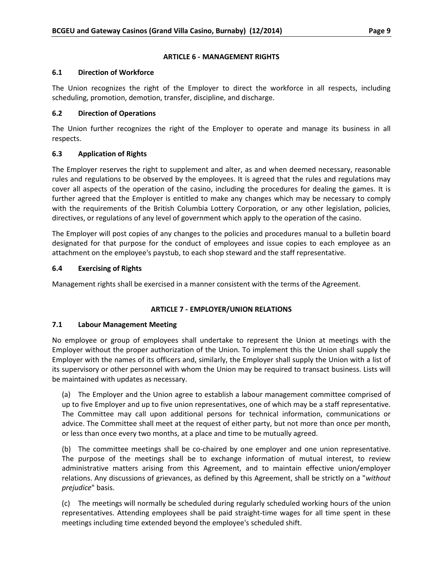### **ARTICLE 6 - MANAGEMENT RIGHTS**

### <span id="page-13-1"></span><span id="page-13-0"></span>**6.1 Direction of Workforce**

The Union recognizes the right of the Employer to direct the workforce in all respects, including scheduling, promotion, demotion, transfer, discipline, and discharge.

# <span id="page-13-2"></span>**6.2 Direction of Operations**

The Union further recognizes the right of the Employer to operate and manage its business in all respects.

# <span id="page-13-3"></span>**6.3 Application of Rights**

The Employer reserves the right to supplement and alter, as and when deemed necessary, reasonable rules and regulations to be observed by the employees. It is agreed that the rules and regulations may cover all aspects of the operation of the casino, including the procedures for dealing the games. It is further agreed that the Employer is entitled to make any changes which may be necessary to comply with the requirements of the British Columbia Lottery Corporation, or any other legislation, policies, directives, or regulations of any level of government which apply to the operation of the casino.

The Employer will post copies of any changes to the policies and procedures manual to a bulletin board designated for that purpose for the conduct of employees and issue copies to each employee as an attachment on the employee's paystub, to each shop steward and the staff representative.

# <span id="page-13-4"></span>**6.4 Exercising of Rights**

Management rights shall be exercised in a manner consistent with the terms of the Agreement.

# **ARTICLE 7 - EMPLOYER/UNION RELATIONS**

#### <span id="page-13-6"></span><span id="page-13-5"></span>**7.1 Labour Management Meeting**

No employee or group of employees shall undertake to represent the Union at meetings with the Employer without the proper authorization of the Union. To implement this the Union shall supply the Employer with the names of its officers and, similarly, the Employer shall supply the Union with a list of its supervisory or other personnel with whom the Union may be required to transact business. Lists will be maintained with updates as necessary.

(a) The Employer and the Union agree to establish a labour management committee comprised of up to five Employer and up to five union representatives, one of which may be a staff representative. The Committee may call upon additional persons for technical information, communications or advice. The Committee shall meet at the request of either party, but not more than once per month, or less than once every two months, at a place and time to be mutually agreed.

(b) The committee meetings shall be co-chaired by one employer and one union representative. The purpose of the meetings shall be to exchange information of mutual interest, to review administrative matters arising from this Agreement, and to maintain effective union/employer relations. Any discussions of grievances, as defined by this Agreement, shall be strictly on a "*without prejudice*" basis.

(c) The meetings will normally be scheduled during regularly scheduled working hours of the union representatives. Attending employees shall be paid straight-time wages for all time spent in these meetings including time extended beyond the employee's scheduled shift.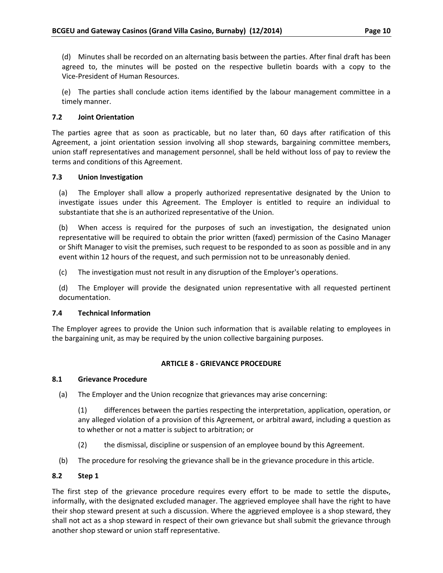(d) Minutes shall be recorded on an alternating basis between the parties. After final draft has been agreed to, the minutes will be posted on the respective bulletin boards with a copy to the Vice-President of Human Resources.

(e) The parties shall conclude action items identified by the labour management committee in a timely manner.

# <span id="page-14-0"></span>**7.2 Joint Orientation**

The parties agree that as soon as practicable, but no later than, 60 days after ratification of this Agreement, a joint orientation session involving all shop stewards, bargaining committee members, union staff representatives and management personnel, shall be held without loss of pay to review the terms and conditions of this Agreement.

#### <span id="page-14-1"></span>**7.3 Union Investigation**

(a) The Employer shall allow a properly authorized representative designated by the Union to investigate issues under this Agreement. The Employer is entitled to require an individual to substantiate that she is an authorized representative of the Union.

(b) When access is required for the purposes of such an investigation, the designated union representative will be required to obtain the prior written (faxed) permission of the Casino Manager or Shift Manager to visit the premises, such request to be responded to as soon as possible and in any event within 12 hours of the request, and such permission not to be unreasonably denied.

(c) The investigation must not result in any disruption of the Employer's operations.

(d) The Employer will provide the designated union representative with all requested pertinent documentation.

#### <span id="page-14-2"></span>**7.4 Technical Information**

The Employer agrees to provide the Union such information that is available relating to employees in the bargaining unit, as may be required by the union collective bargaining purposes.

#### **ARTICLE 8 - GRIEVANCE PROCEDURE**

#### <span id="page-14-4"></span><span id="page-14-3"></span>**8.1 Grievance Procedure**

(a) The Employer and the Union recognize that grievances may arise concerning:

(1) differences between the parties respecting the interpretation, application, operation, or any alleged violation of a provision of this Agreement, or arbitral award, including a question as to whether or not a matter is subject to arbitration; or

- (2) the dismissal, discipline or suspension of an employee bound by this Agreement.
- (b) The procedure for resolving the grievance shall be in the grievance procedure in this article.

#### <span id="page-14-5"></span>**8.2 Step 1**

The first step of the grievance procedure requires every effort to be made to settle the dispute., informally, with the designated excluded manager. The aggrieved employee shall have the right to have their shop steward present at such a discussion. Where the aggrieved employee is a shop steward, they shall not act as a shop steward in respect of their own grievance but shall submit the grievance through another shop steward or union staff representative.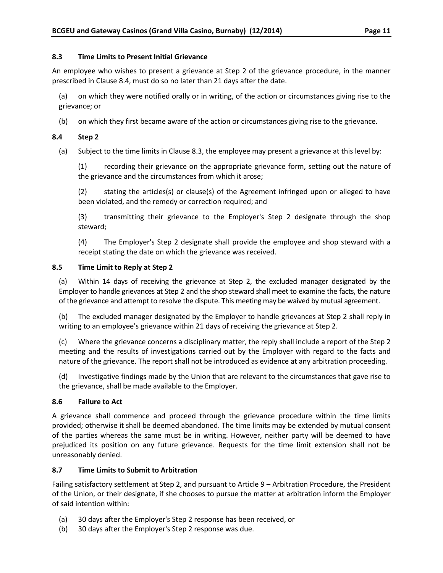#### <span id="page-15-0"></span>**8.3 Time Limits to Present Initial Grievance**

An employee who wishes to present a grievance at Step 2 of the grievance procedure, in the manner prescribed in Clause 8.4, must do so no later than 21 days after the date.

(a) on which they were notified orally or in writing, of the action or circumstances giving rise to the grievance; or

(b) on which they first became aware of the action or circumstances giving rise to the grievance.

#### <span id="page-15-1"></span>**8.4 Step 2**

(a) Subject to the time limits in Clause 8.3, the employee may present a grievance at this level by:

(1) recording their grievance on the appropriate grievance form, setting out the nature of the grievance and the circumstances from which it arose;

(2) stating the articles(s) or clause(s) of the Agreement infringed upon or alleged to have been violated, and the remedy or correction required; and

(3) transmitting their grievance to the Employer's Step 2 designate through the shop steward;

(4) The Employer's Step 2 designate shall provide the employee and shop steward with a receipt stating the date on which the grievance was received.

#### <span id="page-15-2"></span>**8.5 Time Limit to Reply at Step 2**

(a) Within 14 days of receiving the grievance at Step 2, the excluded manager designated by the Employer to handle grievances at Step 2 and the shop steward shall meet to examine the facts, the nature of the grievance and attempt to resolve the dispute. This meeting may be waived by mutual agreement.

(b) The excluded manager designated by the Employer to handle grievances at Step 2 shall reply in writing to an employee's grievance within 21 days of receiving the grievance at Step 2.

(c) Where the grievance concerns a disciplinary matter, the reply shall include a report of the Step 2 meeting and the results of investigations carried out by the Employer with regard to the facts and nature of the grievance. The report shall not be introduced as evidence at any arbitration proceeding.

(d) Investigative findings made by the Union that are relevant to the circumstances that gave rise to the grievance, shall be made available to the Employer.

#### <span id="page-15-3"></span>**8.6 Failure to Act**

A grievance shall commence and proceed through the grievance procedure within the time limits provided; otherwise it shall be deemed abandoned. The time limits may be extended by mutual consent of the parties whereas the same must be in writing. However, neither party will be deemed to have prejudiced its position on any future grievance. Requests for the time limit extension shall not be unreasonably denied.

#### <span id="page-15-4"></span>**8.7 Time Limits to Submit to Arbitration**

Failing satisfactory settlement at Step 2, and pursuant to Article 9 – Arbitration Procedure, the President of the Union, or their designate, if she chooses to pursue the matter at arbitration inform the Employer of said intention within:

- (a) 30 days after the Employer's Step 2 response has been received, or
- (b) 30 days after the Employer's Step 2 response was due.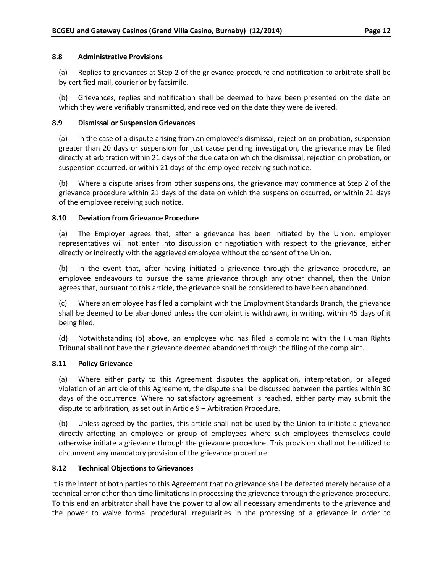#### <span id="page-16-0"></span>**8.8 Administrative Provisions**

(a) Replies to grievances at Step 2 of the grievance procedure and notification to arbitrate shall be by certified mail, courier or by facsimile.

(b) Grievances, replies and notification shall be deemed to have been presented on the date on which they were verifiably transmitted, and received on the date they were delivered.

#### <span id="page-16-1"></span>**8.9 Dismissal or Suspension Grievances**

(a) In the case of a dispute arising from an employee's dismissal, rejection on probation, suspension greater than 20 days or suspension for just cause pending investigation, the grievance may be filed directly at arbitration within 21 days of the due date on which the dismissal, rejection on probation, or suspension occurred, or within 21 days of the employee receiving such notice.

(b) Where a dispute arises from other suspensions, the grievance may commence at Step 2 of the grievance procedure within 21 days of the date on which the suspension occurred, or within 21 days of the employee receiving such notice.

#### <span id="page-16-2"></span>**8.10 Deviation from Grievance Procedure**

(a) The Employer agrees that, after a grievance has been initiated by the Union, employer representatives will not enter into discussion or negotiation with respect to the grievance, either directly or indirectly with the aggrieved employee without the consent of the Union.

(b) In the event that, after having initiated a grievance through the grievance procedure, an employee endeavours to pursue the same grievance through any other channel, then the Union agrees that, pursuant to this article, the grievance shall be considered to have been abandoned.

(c) Where an employee has filed a complaint with the Employment Standards Branch, the grievance shall be deemed to be abandoned unless the complaint is withdrawn, in writing, within 45 days of it being filed.

(d) Notwithstanding (b) above, an employee who has filed a complaint with the Human Rights Tribunal shall not have their grievance deemed abandoned through the filing of the complaint.

#### <span id="page-16-3"></span>**8.11 Policy Grievance**

(a) Where either party to this Agreement disputes the application, interpretation, or alleged violation of an article of this Agreement, the dispute shall be discussed between the parties within 30 days of the occurrence. Where no satisfactory agreement is reached, either party may submit the dispute to arbitration, as set out in Article 9 – Arbitration Procedure.

(b) Unless agreed by the parties, this article shall not be used by the Union to initiate a grievance directly affecting an employee or group of employees where such employees themselves could otherwise initiate a grievance through the grievance procedure. This provision shall not be utilized to circumvent any mandatory provision of the grievance procedure.

#### <span id="page-16-4"></span>**8.12 Technical Objections to Grievances**

It is the intent of both parties to this Agreement that no grievance shall be defeated merely because of a technical error other than time limitations in processing the grievance through the grievance procedure. To this end an arbitrator shall have the power to allow all necessary amendments to the grievance and the power to waive formal procedural irregularities in the processing of a grievance in order to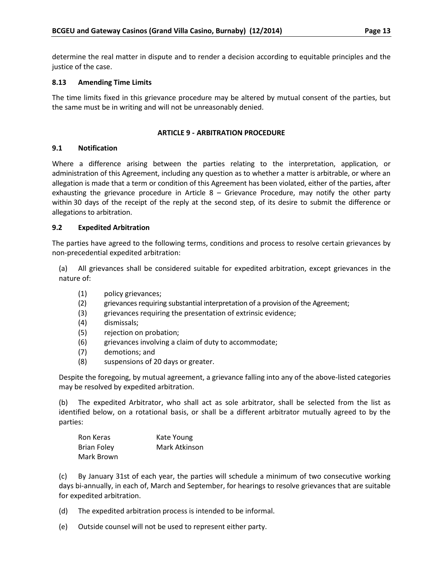determine the real matter in dispute and to render a decision according to equitable principles and the justice of the case.

#### <span id="page-17-0"></span>**8.13 Amending Time Limits**

The time limits fixed in this grievance procedure may be altered by mutual consent of the parties, but the same must be in writing and will not be unreasonably denied.

#### **ARTICLE 9 - ARBITRATION PROCEDURE**

#### <span id="page-17-2"></span><span id="page-17-1"></span>**9.1 Notification**

Where a difference arising between the parties relating to the interpretation, application, or administration of this Agreement, including any question as to whether a matter is arbitrable, or where an allegation is made that a term or condition of this Agreement has been violated, either of the parties, after exhausting the grievance procedure in Article  $8 -$  Grievance Procedure, may notify the other party within 30 days of the receipt of the reply at the second step, of its desire to submit the difference or allegations to arbitration.

#### <span id="page-17-3"></span>**9.2 Expedited Arbitration**

The parties have agreed to the following terms, conditions and process to resolve certain grievances by non-precedential expedited arbitration:

(a) All grievances shall be considered suitable for expedited arbitration, except grievances in the nature of:

- (1) policy grievances;
- (2) grievances requiring substantial interpretation of a provision of the Agreement;
- (3) grievances requiring the presentation of extrinsic evidence;
- (4) dismissals;
- (5) rejection on probation;
- (6) grievances involving a claim of duty to accommodate;
- (7) demotions; and
- (8) suspensions of 20 days or greater.

Despite the foregoing, by mutual agreement, a grievance falling into any of the above-listed categories may be resolved by expedited arbitration.

(b) The expedited Arbitrator, who shall act as sole arbitrator, shall be selected from the list as identified below, on a rotational basis, or shall be a different arbitrator mutually agreed to by the parties:

| Ron Keras          | Kate Young    |
|--------------------|---------------|
| <b>Brian Foley</b> | Mark Atkinson |
| Mark Brown         |               |

(c) By January 31st of each year, the parties will schedule a minimum of two consecutive working days bi-annually, in each of, March and September, for hearings to resolve grievances that are suitable for expedited arbitration.

(d) The expedited arbitration process is intended to be informal.

(e) Outside counsel will not be used to represent either party.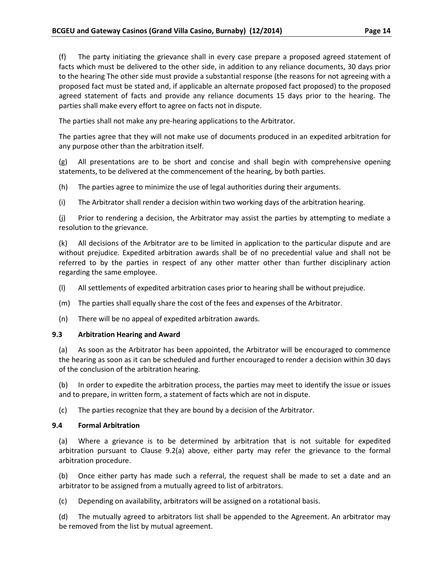(f) The party initiating the grievance shall in every case prepare a proposed agreed statement of facts which must be delivered to the other side, in addition to any reliance documents, 30 days prior to the hearing The other side must provide a substantial response (the reasons for not agreeing with a proposed fact must be stated and, if applicable an alternate proposed fact proposed) to the proposed agreed statement of facts and provide any reliance documents 15 days prior to the hearing. The parties shall make every effort to agree on facts not in dispute.

The parties shall not make any pre-hearing applications to the Arbitrator.

The parties agree that they will not make use of documents produced in an expedited arbitration for any purpose other than the arbitration itself.

(g) All presentations are to be short and concise and shall begin with comprehensive opening statements, to be delivered at the commencement of the hearing, by both parties.

(h) The parties agree to minimize the use of legal authorities during their arguments.

(i) The Arbitrator shall render a decision within two working days of the arbitration hearing.

(j) Prior to rendering a decision, the Arbitrator may assist the parties by attempting to mediate a resolution to the grievance.

(k) All decisions of the Arbitrator are to be limited in application to the particular dispute and are without prejudice. Expedited arbitration awards shall be of no precedential value and shall not be referred to by the parties in respect of any other matter other than further disciplinary action regarding the same employee.

- (l) All settlements of expedited arbitration cases prior to hearing shall be without prejudice.
- (m) The parties shall equally share the cost of the fees and expenses of the Arbitrator.
- (n) There will be no appeal of expedited arbitration awards.

#### <span id="page-18-0"></span>**9.3 Arbitration Hearing and Award**

(a) As soon as the Arbitrator has been appointed, the Arbitrator will be encouraged to commence the hearing as soon as it can be scheduled and further encouraged to render a decision within 30 days of the conclusion of the arbitration hearing.

(b) In order to expedite the arbitration process, the parties may meet to identify the issue or issues and to prepare, in written form, a statement of facts which are not in dispute.

(c) The parties recognize that they are bound by a decision of the Arbitrator.

#### <span id="page-18-1"></span>**9.4 Formal Arbitration**

(a) Where a grievance is to be determined by arbitration that is not suitable for expedited arbitration pursuant to Clause 9.2(a) above, either party may refer the grievance to the formal arbitration procedure.

(b) Once either party has made such a referral, the request shall be made to set a date and an arbitrator to be assigned from a mutually agreed to list of arbitrators.

(c) Depending on availability, arbitrators will be assigned on a rotational basis.

(d) The mutually agreed to arbitrators list shall be appended to the Agreement. An arbitrator may be removed from the list by mutual agreement.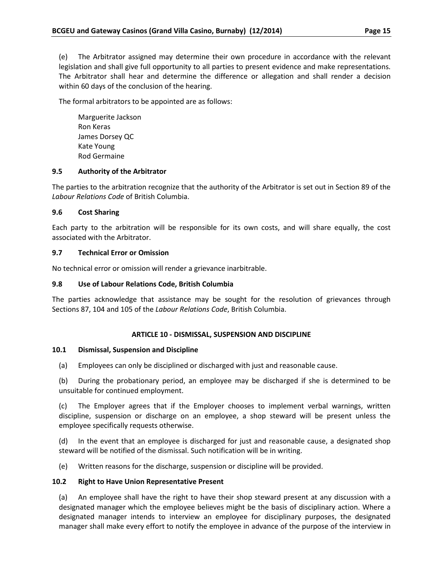(e) The Arbitrator assigned may determine their own procedure in accordance with the relevant legislation and shall give full opportunity to all parties to present evidence and make representations. The Arbitrator shall hear and determine the difference or allegation and shall render a decision within 60 days of the conclusion of the hearing.

The formal arbitrators to be appointed are as follows:

Marguerite Jackson Ron Keras James Dorsey QC Kate Young Rod Germaine

# <span id="page-19-0"></span>**9.5 Authority of the Arbitrator**

The parties to the arbitration recognize that the authority of the Arbitrator is set out in Section 89 of the *Labour Relations Code* of British Columbia.

#### <span id="page-19-1"></span>**9.6 Cost Sharing**

Each party to the arbitration will be responsible for its own costs, and will share equally, the cost associated with the Arbitrator.

# <span id="page-19-2"></span>**9.7 Technical Error or Omission**

No technical error or omission will render a grievance inarbitrable.

# <span id="page-19-3"></span>**9.8 Use of Labour Relations Code, British Columbia**

The parties acknowledge that assistance may be sought for the resolution of grievances through Sections 87, 104 and 105 of the *Labour Relations Code*, British Columbia.

#### **ARTICLE 10 - DISMISSAL, SUSPENSION AND DISCIPLINE**

#### <span id="page-19-5"></span><span id="page-19-4"></span>**10.1 Dismissal, Suspension and Discipline**

(a) Employees can only be disciplined or discharged with just and reasonable cause.

(b) During the probationary period, an employee may be discharged if she is determined to be unsuitable for continued employment.

(c) The Employer agrees that if the Employer chooses to implement verbal warnings, written discipline, suspension or discharge on an employee, a shop steward will be present unless the employee specifically requests otherwise.

(d) In the event that an employee is discharged for just and reasonable cause, a designated shop steward will be notified of the dismissal. Such notification will be in writing.

(e) Written reasons for the discharge, suspension or discipline will be provided.

#### <span id="page-19-6"></span>**10.2 Right to Have Union Representative Present**

(a) An employee shall have the right to have their shop steward present at any discussion with a designated manager which the employee believes might be the basis of disciplinary action. Where a designated manager intends to interview an employee for disciplinary purposes, the designated manager shall make every effort to notify the employee in advance of the purpose of the interview in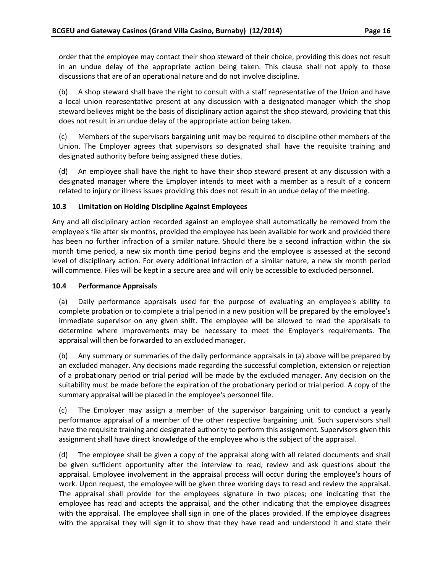order that the employee may contact their shop steward of their choice, providing this does not result in an undue delay of the appropriate action being taken. This clause shall not apply to those discussions that are of an operational nature and do not involve discipline.

(b) A shop steward shall have the right to consult with a staff representative of the Union and have a local union representative present at any discussion with a designated manager which the shop steward believes might be the basis of disciplinary action against the shop steward, providing that this does not result in an undue delay of the appropriate action being taken.

(c) Members of the supervisors bargaining unit may be required to discipline other members of the Union. The Employer agrees that supervisors so designated shall have the requisite training and designated authority before being assigned these duties.

(d) An employee shall have the right to have their shop steward present at any discussion with a designated manager where the Employer intends to meet with a member as a result of a concern related to injury or illness issues providing this does not result in an undue delay of the meeting.

# <span id="page-20-0"></span>**10.3 Limitation on Holding Discipline Against Employees**

Any and all disciplinary action recorded against an employee shall automatically be removed from the employee's file after six months, provided the employee has been available for work and provided there has been no further infraction of a similar nature. Should there be a second infraction within the six month time period, a new six month time period begins and the employee is assessed at the second level of disciplinary action. For every additional infraction of a similar nature, a new six month period will commence. Files will be kept in a secure area and will only be accessible to excluded personnel.

#### <span id="page-20-1"></span>**10.4 Performance Appraisals**

(a) Daily performance appraisals used for the purpose of evaluating an employee's ability to complete probation or to complete a trial period in a new position will be prepared by the employee's immediate supervisor on any given shift. The employee will be allowed to read the appraisals to determine where improvements may be necessary to meet the Employer's requirements. The appraisal will then be forwarded to an excluded manager.

(b) Any summary or summaries of the daily performance appraisals in (a) above will be prepared by an excluded manager. Any decisions made regarding the successful completion, extension or rejection of a probationary period or trial period will be made by the excluded manager. Any decision on the suitability must be made before the expiration of the probationary period or trial period. A copy of the summary appraisal will be placed in the employee's personnel file.

(c) The Employer may assign a member of the supervisor bargaining unit to conduct a yearly performance appraisal of a member of the other respective bargaining unit. Such supervisors shall have the requisite training and designated authority to perform this assignment. Supervisors given this assignment shall have direct knowledge of the employee who is the subject of the appraisal.

(d) The employee shall be given a copy of the appraisal along with all related documents and shall be given sufficient opportunity after the interview to read, review and ask questions about the appraisal. Employee involvement in the appraisal process will occur during the employee's hours of work. Upon request, the employee will be given three working days to read and review the appraisal. The appraisal shall provide for the employees signature in two places; one indicating that the employee has read and accepts the appraisal, and the other indicating that the employee disagrees with the appraisal. The employee shall sign in one of the places provided. If the employee disagrees with the appraisal they will sign it to show that they have read and understood it and state their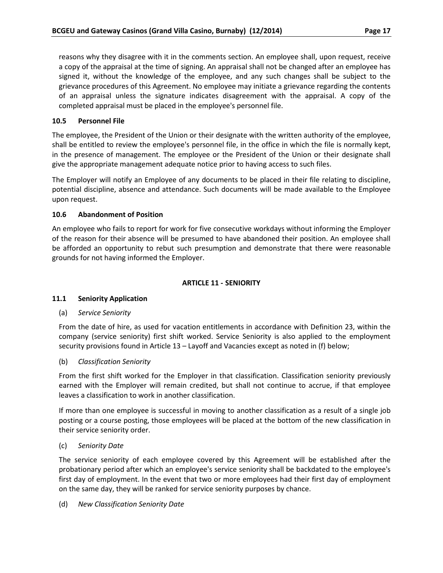reasons why they disagree with it in the comments section. An employee shall, upon request, receive a copy of the appraisal at the time of signing. An appraisal shall not be changed after an employee has signed it, without the knowledge of the employee, and any such changes shall be subject to the grievance procedures of this Agreement. No employee may initiate a grievance regarding the contents of an appraisal unless the signature indicates disagreement with the appraisal. A copy of the completed appraisal must be placed in the employee's personnel file.

### <span id="page-21-0"></span>**10.5 Personnel File**

The employee, the President of the Union or their designate with the written authority of the employee, shall be entitled to review the employee's personnel file, in the office in which the file is normally kept, in the presence of management. The employee or the President of the Union or their designate shall give the appropriate management adequate notice prior to having access to such files.

The Employer will notify an Employee of any documents to be placed in their file relating to discipline, potential discipline, absence and attendance. Such documents will be made available to the Employee upon request.

#### <span id="page-21-1"></span>**10.6 Abandonment of Position**

An employee who fails to report for work for five consecutive workdays without informing the Employer of the reason for their absence will be presumed to have abandoned their position. An employee shall be afforded an opportunity to rebut such presumption and demonstrate that there were reasonable grounds for not having informed the Employer.

#### **ARTICLE 11 - SENIORITY**

#### <span id="page-21-3"></span><span id="page-21-2"></span>**11.1 Seniority Application**

#### (a) *Service Seniority*

From the date of hire, as used for vacation entitlements in accordance with Definition 23, within the company (service seniority) first shift worked. Service Seniority is also applied to the employment security provisions found in Article 13 – Layoff and Vacancies except as noted in (f) below;

(b) *Classification Seniority*

From the first shift worked for the Employer in that classification. Classification seniority previously earned with the Employer will remain credited, but shall not continue to accrue, if that employee leaves a classification to work in another classification.

If more than one employee is successful in moving to another classification as a result of a single job posting or a course posting, those employees will be placed at the bottom of the new classification in their service seniority order.

#### (c) *Seniority Date*

The service seniority of each employee covered by this Agreement will be established after the probationary period after which an employee's service seniority shall be backdated to the employee's first day of employment. In the event that two or more employees had their first day of employment on the same day, they will be ranked for service seniority purposes by chance.

#### (d) *New Classification Seniority Date*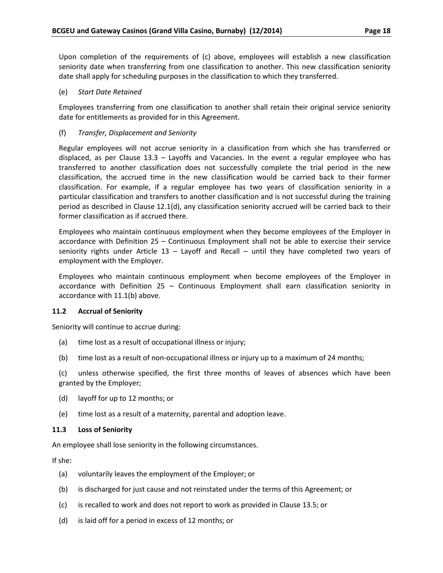Upon completion of the requirements of (c) above, employees will establish a new classification seniority date when transferring from one classification to another. This new classification seniority date shall apply for scheduling purposes in the classification to which they transferred.

#### (e) *Start Date Retained*

Employees transferring from one classification to another shall retain their original service seniority date for entitlements as provided for in this Agreement.

#### (f) *Transfer, Displacement and Seniority*

Regular employees will not accrue seniority in a classification from which she has transferred or displaced, as per Clause 13.3 – Layoffs and Vacancies. In the event a regular employee who has transferred to another classification does not successfully complete the trial period in the new classification, the accrued time in the new classification would be carried back to their former classification. For example, if a regular employee has two years of classification seniority in a particular classification and transfers to another classification and is not successful during the training period as described in Clause 12.1(d), any classification seniority accrued will be carried back to their former classification as if accrued there.

Employees who maintain continuous employment when they become employees of the Employer in accordance with Definition 25 – Continuous Employment shall not be able to exercise their service seniority rights under Article  $13 -$  Layoff and Recall – until they have completed two years of employment with the Employer.

Employees who maintain continuous employment when become employees of the Employer in accordance with Definition 25 – Continuous Employment shall earn classification seniority in accordance with 11.1(b) above.

#### <span id="page-22-0"></span>**11.2 Accrual of Seniority**

Seniority will continue to accrue during:

- (a) time lost as a result of occupational illness or injury;
- (b) time lost as a result of non-occupational illness or injury up to a maximum of 24 months;

(c) unless otherwise specified, the first three months of leaves of absences which have been granted by the Employer;

- (d) layoff for up to 12 months; or
- (e) time lost as a result of a maternity, parental and adoption leave.

#### <span id="page-22-1"></span>**11.3 Loss of Seniority**

An employee shall lose seniority in the following circumstances.

If she:

- (a) voluntarily leaves the employment of the Employer; or
- (b) is discharged for just cause and not reinstated under the terms of this Agreement; or
- (c) is recalled to work and does not report to work as provided in Clause 13.5; or
- (d) is laid off for a period in excess of 12 months; or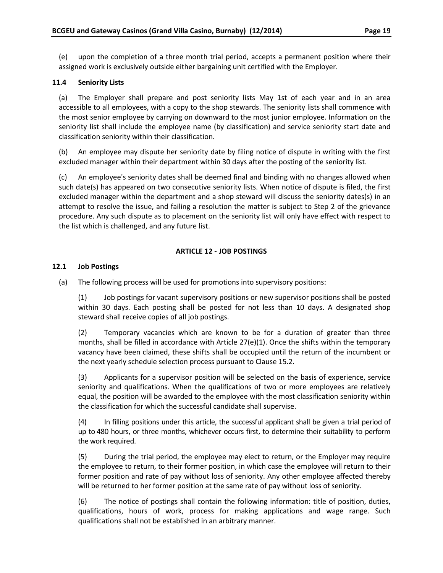(e) upon the completion of a three month trial period, accepts a permanent position where their assigned work is exclusively outside either bargaining unit certified with the Employer.

### <span id="page-23-0"></span>**11.4 Seniority Lists**

(a) The Employer shall prepare and post seniority lists May 1st of each year and in an area accessible to all employees, with a copy to the shop stewards. The seniority lists shall commence with the most senior employee by carrying on downward to the most junior employee. Information on the seniority list shall include the employee name (by classification) and service seniority start date and classification seniority within their classification.

(b) An employee may dispute her seniority date by filing notice of dispute in writing with the first excluded manager within their department within 30 days after the posting of the seniority list.

(c) An employee's seniority dates shall be deemed final and binding with no changes allowed when such date(s) has appeared on two consecutive seniority lists. When notice of dispute is filed, the first excluded manager within the department and a shop steward will discuss the seniority dates(s) in an attempt to resolve the issue, and failing a resolution the matter is subject to Step 2 of the grievance procedure. Any such dispute as to placement on the seniority list will only have effect with respect to the list which is challenged, and any future list.

# **ARTICLE 12 - JOB POSTINGS**

#### <span id="page-23-2"></span><span id="page-23-1"></span>**12.1 Job Postings**

(a) The following process will be used for promotions into supervisory positions:

(1) Job postings for vacant supervisory positions or new supervisor positions shall be posted within 30 days. Each posting shall be posted for not less than 10 days. A designated shop steward shall receive copies of all job postings.

(2) Temporary vacancies which are known to be for a duration of greater than three months, shall be filled in accordance with Article 27(e)(1). Once the shifts within the temporary vacancy have been claimed, these shifts shall be occupied until the return of the incumbent or the next yearly schedule selection process pursuant to Clause 15.2.

(3) Applicants for a supervisor position will be selected on the basis of experience, service seniority and qualifications. When the qualifications of two or more employees are relatively equal, the position will be awarded to the employee with the most classification seniority within the classification for which the successful candidate shall supervise.

(4) In filling positions under this article, the successful applicant shall be given a trial period of up to 480 hours, or three months, whichever occurs first, to determine their suitability to perform the work required.

(5) During the trial period, the employee may elect to return, or the Employer may require the employee to return, to their former position, in which case the employee will return to their former position and rate of pay without loss of seniority. Any other employee affected thereby will be returned to her former position at the same rate of pay without loss of seniority.

(6) The notice of postings shall contain the following information: title of position, duties, qualifications, hours of work, process for making applications and wage range. Such qualifications shall not be established in an arbitrary manner.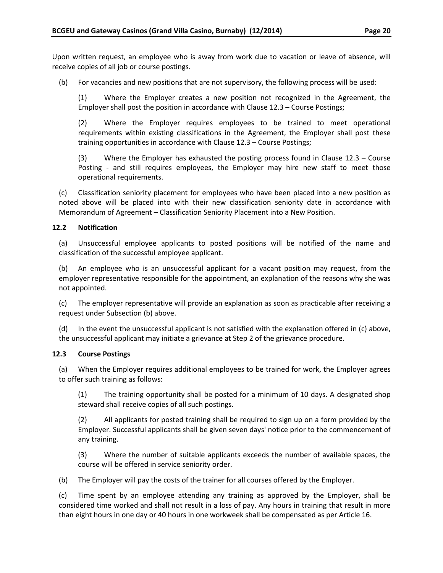Upon written request, an employee who is away from work due to vacation or leave of absence, will receive copies of all job or course postings.

(b) For vacancies and new positions that are not supervisory, the following process will be used:

(1) Where the Employer creates a new position not recognized in the Agreement, the Employer shall post the position in accordance with Clause 12.3 – Course Postings;

(2) Where the Employer requires employees to be trained to meet operational requirements within existing classifications in the Agreement, the Employer shall post these training opportunities in accordance with Clause 12.3 – Course Postings;

(3) Where the Employer has exhausted the posting process found in Clause 12.3 – Course Posting - and still requires employees, the Employer may hire new staff to meet those operational requirements.

(c) Classification seniority placement for employees who have been placed into a new position as noted above will be placed into with their new classification seniority date in accordance with Memorandum of Agreement – Classification Seniority Placement into a New Position.

#### <span id="page-24-0"></span>**12.2 Notification**

(a) Unsuccessful employee applicants to posted positions will be notified of the name and classification of the successful employee applicant.

(b) An employee who is an unsuccessful applicant for a vacant position may request, from the employer representative responsible for the appointment, an explanation of the reasons why she was not appointed.

(c) The employer representative will provide an explanation as soon as practicable after receiving a request under Subsection (b) above.

(d) In the event the unsuccessful applicant is not satisfied with the explanation offered in (c) above, the unsuccessful applicant may initiate a grievance at Step 2 of the grievance procedure.

#### <span id="page-24-1"></span>**12.3 Course Postings**

(a) When the Employer requires additional employees to be trained for work, the Employer agrees to offer such training as follows:

(1) The training opportunity shall be posted for a minimum of 10 days. A designated shop steward shall receive copies of all such postings.

(2) All applicants for posted training shall be required to sign up on a form provided by the Employer. Successful applicants shall be given seven days' notice prior to the commencement of any training.

(3) Where the number of suitable applicants exceeds the number of available spaces, the course will be offered in service seniority order.

(b) The Employer will pay the costs of the trainer for all courses offered by the Employer.

(c) Time spent by an employee attending any training as approved by the Employer, shall be considered time worked and shall not result in a loss of pay. Any hours in training that result in more than eight hours in one day or 40 hours in one workweek shall be compensated as per Article 16.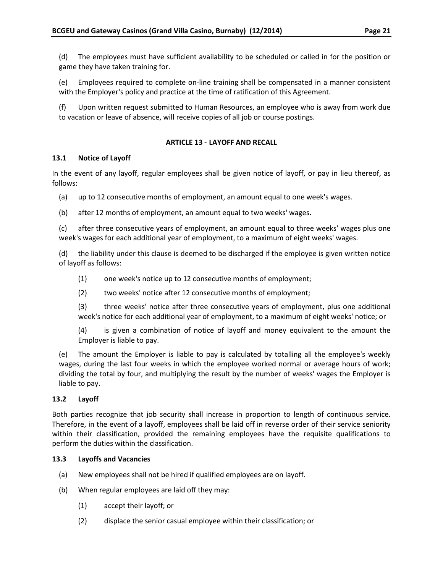(d) The employees must have sufficient availability to be scheduled or called in for the position or game they have taken training for.

(e) Employees required to complete on-line training shall be compensated in a manner consistent with the Employer's policy and practice at the time of ratification of this Agreement.

(f) Upon written request submitted to Human Resources, an employee who is away from work due to vacation or leave of absence, will receive copies of all job or course postings.

# **ARTICLE 13 - LAYOFF AND RECALL**

# <span id="page-25-1"></span><span id="page-25-0"></span>**13.1 Notice of Layoff**

In the event of any layoff, regular employees shall be given notice of layoff, or pay in lieu thereof, as follows:

- (a) up to 12 consecutive months of employment, an amount equal to one week's wages.
- (b) after 12 months of employment, an amount equal to two weeks' wages.

(c) after three consecutive years of employment, an amount equal to three weeks' wages plus one week's wages for each additional year of employment, to a maximum of eight weeks' wages.

(d) the liability under this clause is deemed to be discharged if the employee is given written notice of layoff as follows:

- (1) one week's notice up to 12 consecutive months of employment;
- (2) two weeks' notice after 12 consecutive months of employment;

(3) three weeks' notice after three consecutive years of employment, plus one additional week's notice for each additional year of employment, to a maximum of eight weeks' notice; or

(4) is given a combination of notice of layoff and money equivalent to the amount the Employer is liable to pay.

(e) The amount the Employer is liable to pay is calculated by totalling all the employee's weekly wages, during the last four weeks in which the employee worked normal or average hours of work; dividing the total by four, and multiplying the result by the number of weeks' wages the Employer is liable to pay.

#### <span id="page-25-2"></span>**13.2 Layoff**

Both parties recognize that job security shall increase in proportion to length of continuous service. Therefore, in the event of a layoff, employees shall be laid off in reverse order of their service seniority within their classification, provided the remaining employees have the requisite qualifications to perform the duties within the classification.

# <span id="page-25-3"></span>**13.3 Layoffs and Vacancies**

- (a) New employees shall not be hired if qualified employees are on layoff.
- (b) When regular employees are laid off they may:
	- (1) accept their layoff; or
	- (2) displace the senior casual employee within their classification; or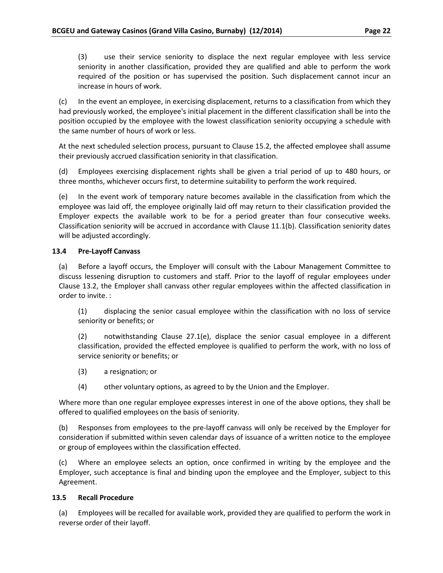(3) use their service seniority to displace the next regular employee with less service seniority in another classification, provided they are qualified and able to perform the work required of the position or has supervised the position. Such displacement cannot incur an increase in hours of work.

(c) In the event an employee, in exercising displacement, returns to a classification from which they had previously worked, the employee's initial placement in the different classification shall be into the position occupied by the employee with the lowest classification seniority occupying a schedule with the same number of hours of work or less.

At the next scheduled selection process, pursuant to Clause 15.2, the affected employee shall assume their previously accrued classification seniority in that classification.

(d) Employees exercising displacement rights shall be given a trial period of up to 480 hours, or three months, whichever occurs first, to determine suitability to perform the work required.

(e) In the event work of temporary nature becomes available in the classification from which the employee was laid off, the employee originally laid off may return to their classification provided the Employer expects the available work to be for a period greater than four consecutive weeks. Classification seniority will be accrued in accordance with Clause 11.1(b). Classification seniority dates will be adjusted accordingly.

# <span id="page-26-0"></span>**13.4 Pre-Layoff Canvass**

(a) Before a layoff occurs, the Employer will consult with the Labour Management Committee to discuss lessening disruption to customers and staff. Prior to the layoff of regular employees under Clause 13.2, the Employer shall canvass other regular employees within the affected classification in order to invite. :

(1) displacing the senior casual employee within the classification with no loss of service seniority or benefits; or

(2) notwithstanding Clause 27.1(e), displace the senior casual employee in a different classification, provided the effected employee is qualified to perform the work, with no loss of service seniority or benefits; or

- (3) a resignation; or
- (4) other voluntary options, as agreed to by the Union and the Employer.

Where more than one regular employee expresses interest in one of the above options, they shall be offered to qualified employees on the basis of seniority.

(b) Responses from employees to the pre-layoff canvass will only be received by the Employer for consideration if submitted within seven calendar days of issuance of a written notice to the employee or group of employees within the classification effected.

(c) Where an employee selects an option, once confirmed in writing by the employee and the Employer, such acceptance is final and binding upon the employee and the Employer, subject to this Agreement.

#### <span id="page-26-1"></span>**13.5 Recall Procedure**

(a) Employees will be recalled for available work, provided they are qualified to perform the work in reverse order of their layoff.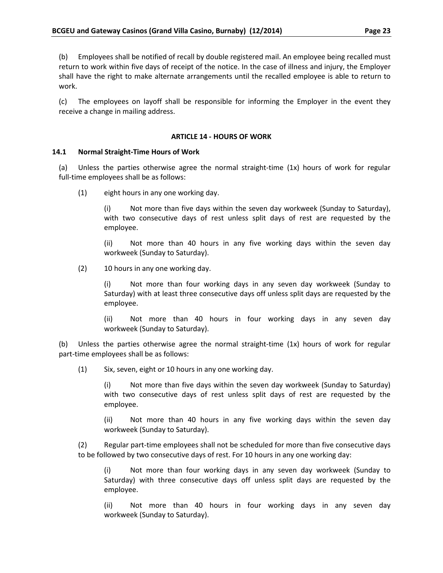(b) Employees shall be notified of recall by double registered mail. An employee being recalled must return to work within five days of receipt of the notice. In the case of illness and injury, the Employer shall have the right to make alternate arrangements until the recalled employee is able to return to work.

(c) The employees on layoff shall be responsible for informing the Employer in the event they receive a change in mailing address.

#### **ARTICLE 14 - HOURS OF WORK**

#### <span id="page-27-1"></span><span id="page-27-0"></span>**14.1 Normal Straight-Time Hours of Work**

(a) Unless the parties otherwise agree the normal straight-time (1x) hours of work for regular full-time employees shall be as follows:

(1) eight hours in any one working day.

(i) Not more than five days within the seven day workweek (Sunday to Saturday), with two consecutive days of rest unless split days of rest are requested by the employee.

(ii) Not more than 40 hours in any five working days within the seven day workweek (Sunday to Saturday).

(2) 10 hours in any one working day.

(i) Not more than four working days in any seven day workweek (Sunday to Saturday) with at least three consecutive days off unless split days are requested by the employee.

(ii) Not more than 40 hours in four working days in any seven day workweek (Sunday to Saturday).

(b) Unless the parties otherwise agree the normal straight-time (1x) hours of work for regular part-time employees shall be as follows:

(1) Six, seven, eight or 10 hours in any one working day.

(i) Not more than five days within the seven day workweek (Sunday to Saturday) with two consecutive days of rest unless split days of rest are requested by the employee.

(ii) Not more than 40 hours in any five working days within the seven day workweek (Sunday to Saturday).

(2) Regular part-time employees shall not be scheduled for more than five consecutive days to be followed by two consecutive days of rest. For 10 hours in any one working day:

(i) Not more than four working days in any seven day workweek (Sunday to Saturday) with three consecutive days off unless split days are requested by the employee.

(ii) Not more than 40 hours in four working days in any seven day workweek (Sunday to Saturday).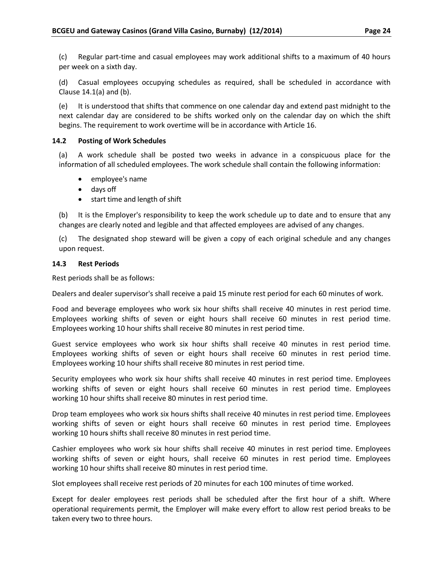(c) Regular part-time and casual employees may work additional shifts to a maximum of 40 hours per week on a sixth day.

(d) Casual employees occupying schedules as required, shall be scheduled in accordance with Clause 14.1(a) and (b).

(e) It is understood that shifts that commence on one calendar day and extend past midnight to the next calendar day are considered to be shifts worked only on the calendar day on which the shift begins. The requirement to work overtime will be in accordance with Article 16.

#### <span id="page-28-0"></span>**14.2 Posting of Work Schedules**

(a) A work schedule shall be posted two weeks in advance in a conspicuous place for the information of all scheduled employees. The work schedule shall contain the following information:

- employee's name
- days off
- start time and length of shift

(b) It is the Employer's responsibility to keep the work schedule up to date and to ensure that any changes are clearly noted and legible and that affected employees are advised of any changes.

(c) The designated shop steward will be given a copy of each original schedule and any changes upon request.

#### <span id="page-28-1"></span>**14.3 Rest Periods**

Rest periods shall be as follows:

Dealers and dealer supervisor's shall receive a paid 15 minute rest period for each 60 minutes of work.

Food and beverage employees who work six hour shifts shall receive 40 minutes in rest period time. Employees working shifts of seven or eight hours shall receive 60 minutes in rest period time. Employees working 10 hour shifts shall receive 80 minutes in rest period time.

Guest service employees who work six hour shifts shall receive 40 minutes in rest period time. Employees working shifts of seven or eight hours shall receive 60 minutes in rest period time. Employees working 10 hour shifts shall receive 80 minutes in rest period time.

Security employees who work six hour shifts shall receive 40 minutes in rest period time. Employees working shifts of seven or eight hours shall receive 60 minutes in rest period time. Employees working 10 hour shifts shall receive 80 minutes in rest period time.

Drop team employees who work six hours shifts shall receive 40 minutes in rest period time. Employees working shifts of seven or eight hours shall receive 60 minutes in rest period time. Employees working 10 hours shifts shall receive 80 minutes in rest period time.

Cashier employees who work six hour shifts shall receive 40 minutes in rest period time. Employees working shifts of seven or eight hours, shall receive 60 minutes in rest period time. Employees working 10 hour shifts shall receive 80 minutes in rest period time.

Slot employees shall receive rest periods of 20 minutes for each 100 minutes of time worked.

Except for dealer employees rest periods shall be scheduled after the first hour of a shift. Where operational requirements permit, the Employer will make every effort to allow rest period breaks to be taken every two to three hours.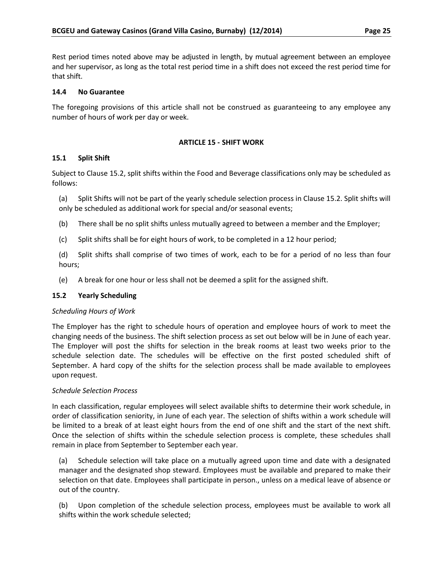Rest period times noted above may be adjusted in length, by mutual agreement between an employee and her supervisor, as long as the total rest period time in a shift does not exceed the rest period time for that shift.

### <span id="page-29-0"></span>**14.4 No Guarantee**

The foregoing provisions of this article shall not be construed as guaranteeing to any employee any number of hours of work per day or week.

### **ARTICLE 15 - SHIFT WORK**

#### <span id="page-29-2"></span><span id="page-29-1"></span>**15.1 Split Shift**

Subject to Clause 15.2, split shifts within the Food and Beverage classifications only may be scheduled as follows:

(a) Split Shifts will not be part of the yearly schedule selection process in Clause 15.2. Split shifts will only be scheduled as additional work for special and/or seasonal events;

- (b) There shall be no split shifts unless mutually agreed to between a member and the Employer;
- (c) Split shifts shall be for eight hours of work, to be completed in a 12 hour period;

(d) Split shifts shall comprise of two times of work, each to be for a period of no less than four hours;

(e) A break for one hour or less shall not be deemed a split for the assigned shift.

#### <span id="page-29-3"></span>**15.2 Yearly Scheduling**

#### *Scheduling Hours of Work*

The Employer has the right to schedule hours of operation and employee hours of work to meet the changing needs of the business. The shift selection process as set out below will be in June of each year. The Employer will post the shifts for selection in the break rooms at least two weeks prior to the schedule selection date. The schedules will be effective on the first posted scheduled shift of September. A hard copy of the shifts for the selection process shall be made available to employees upon request.

#### *Schedule Selection Process*

In each classification, regular employees will select available shifts to determine their work schedule, in order of classification seniority, in June of each year. The selection of shifts within a work schedule will be limited to a break of at least eight hours from the end of one shift and the start of the next shift. Once the selection of shifts within the schedule selection process is complete, these schedules shall remain in place from September to September each year.

(a) Schedule selection will take place on a mutually agreed upon time and date with a designated manager and the designated shop steward. Employees must be available and prepared to make their selection on that date. Employees shall participate in person., unless on a medical leave of absence or out of the country.

(b) Upon completion of the schedule selection process, employees must be available to work all shifts within the work schedule selected;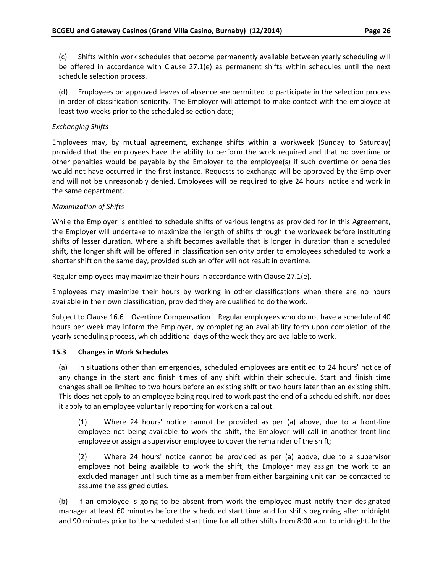(c) Shifts within work schedules that become permanently available between yearly scheduling will be offered in accordance with Clause 27.1(e) as permanent shifts within schedules until the next schedule selection process.

(d) Employees on approved leaves of absence are permitted to participate in the selection process in order of classification seniority. The Employer will attempt to make contact with the employee at least two weeks prior to the scheduled selection date;

#### *Exchanging Shifts*

Employees may, by mutual agreement, exchange shifts within a workweek (Sunday to Saturday) provided that the employees have the ability to perform the work required and that no overtime or other penalties would be payable by the Employer to the employee(s) if such overtime or penalties would not have occurred in the first instance. Requests to exchange will be approved by the Employer and will not be unreasonably denied. Employees will be required to give 24 hours' notice and work in the same department.

#### *Maximization of Shifts*

While the Employer is entitled to schedule shifts of various lengths as provided for in this Agreement, the Employer will undertake to maximize the length of shifts through the workweek before instituting shifts of lesser duration. Where a shift becomes available that is longer in duration than a scheduled shift, the longer shift will be offered in classification seniority order to employees scheduled to work a shorter shift on the same day, provided such an offer will not result in overtime.

Regular employees may maximize their hours in accordance with Clause 27.1(e).

Employees may maximize their hours by working in other classifications when there are no hours available in their own classification, provided they are qualified to do the work.

Subject to Clause 16.6 – Overtime Compensation – Regular employees who do not have a schedule of 40 hours per week may inform the Employer, by completing an availability form upon completion of the yearly scheduling process, which additional days of the week they are available to work.

#### <span id="page-30-0"></span>**15.3 Changes in Work Schedules**

(a) In situations other than emergencies, scheduled employees are entitled to 24 hours' notice of any change in the start and finish times of any shift within their schedule. Start and finish time changes shall be limited to two hours before an existing shift or two hours later than an existing shift. This does not apply to an employee being required to work past the end of a scheduled shift, nor does it apply to an employee voluntarily reporting for work on a callout.

(1) Where 24 hours' notice cannot be provided as per (a) above, due to a front-line employee not being available to work the shift, the Employer will call in another front-line employee or assign a supervisor employee to cover the remainder of the shift;

(2) Where 24 hours' notice cannot be provided as per (a) above, due to a supervisor employee not being available to work the shift, the Employer may assign the work to an excluded manager until such time as a member from either bargaining unit can be contacted to assume the assigned duties.

(b) If an employee is going to be absent from work the employee must notify their designated manager at least 60 minutes before the scheduled start time and for shifts beginning after midnight and 90 minutes prior to the scheduled start time for all other shifts from 8:00 a.m. to midnight. In the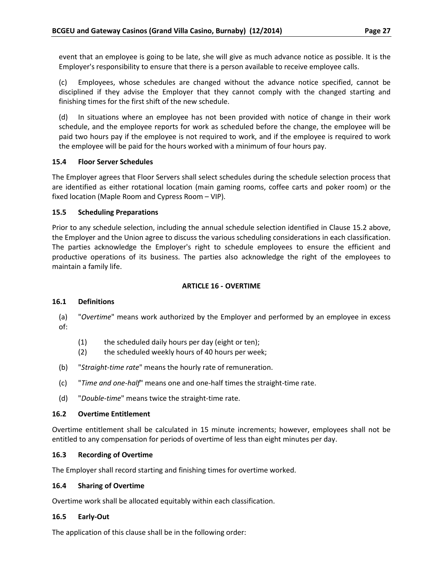event that an employee is going to be late, she will give as much advance notice as possible. It is the Employer's responsibility to ensure that there is a person available to receive employee calls.

(c) Employees, whose schedules are changed without the advance notice specified, cannot be disciplined if they advise the Employer that they cannot comply with the changed starting and finishing times for the first shift of the new schedule.

(d) In situations where an employee has not been provided with notice of change in their work schedule, and the employee reports for work as scheduled before the change, the employee will be paid two hours pay if the employee is not required to work, and if the employee is required to work the employee will be paid for the hours worked with a minimum of four hours pay.

#### <span id="page-31-0"></span>**15.4 Floor Server Schedules**

The Employer agrees that Floor Servers shall select schedules during the schedule selection process that are identified as either rotational location (main gaming rooms, coffee carts and poker room) or the fixed location (Maple Room and Cypress Room – VIP).

#### <span id="page-31-1"></span>**15.5 Scheduling Preparations**

Prior to any schedule selection, including the annual schedule selection identified in Clause 15.2 above, the Employer and the Union agree to discuss the various scheduling considerations in each classification. The parties acknowledge the Employer's right to schedule employees to ensure the efficient and productive operations of its business. The parties also acknowledge the right of the employees to maintain a family life.

#### **ARTICLE 16 - OVERTIME**

#### <span id="page-31-3"></span><span id="page-31-2"></span>**16.1 Definitions**

(a) "*Overtime*" means work authorized by the Employer and performed by an employee in excess of:

- (1) the scheduled daily hours per day (eight or ten);
- (2) the scheduled weekly hours of 40 hours per week;
- (b) "*Straight-time rate*" means the hourly rate of remuneration.
- (c) "*Time and one-half*" means one and one-half times the straight-time rate.
- (d) "*Double-time*" means twice the straight-time rate.

#### <span id="page-31-4"></span>**16.2 Overtime Entitlement**

Overtime entitlement shall be calculated in 15 minute increments; however, employees shall not be entitled to any compensation for periods of overtime of less than eight minutes per day.

#### <span id="page-31-5"></span>**16.3 Recording of Overtime**

The Employer shall record starting and finishing times for overtime worked.

#### <span id="page-31-6"></span>**16.4 Sharing of Overtime**

Overtime work shall be allocated equitably within each classification.

#### <span id="page-31-7"></span>**16.5 Early-Out**

The application of this clause shall be in the following order: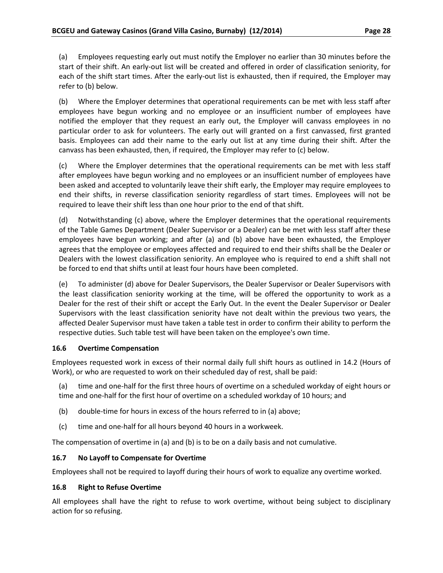(a) Employees requesting early out must notify the Employer no earlier than 30 minutes before the start of their shift. An early-out list will be created and offered in order of classification seniority, for each of the shift start times. After the early-out list is exhausted, then if required, the Employer may refer to (b) below.

(b) Where the Employer determines that operational requirements can be met with less staff after employees have begun working and no employee or an insufficient number of employees have notified the employer that they request an early out, the Employer will canvass employees in no particular order to ask for volunteers. The early out will granted on a first canvassed, first granted basis. Employees can add their name to the early out list at any time during their shift. After the canvass has been exhausted, then, if required, the Employer may refer to (c) below.

(c) Where the Employer determines that the operational requirements can be met with less staff after employees have begun working and no employees or an insufficient number of employees have been asked and accepted to voluntarily leave their shift early, the Employer may require employees to end their shifts, in reverse classification seniority regardless of start times. Employees will not be required to leave their shift less than one hour prior to the end of that shift.

(d) Notwithstanding (c) above, where the Employer determines that the operational requirements of the Table Games Department (Dealer Supervisor or a Dealer) can be met with less staff after these employees have begun working; and after (a) and (b) above have been exhausted, the Employer agrees that the employee or employees affected and required to end their shifts shall be the Dealer or Dealers with the lowest classification seniority. An employee who is required to end a shift shall not be forced to end that shifts until at least four hours have been completed.

(e) To administer (d) above for Dealer Supervisors, the Dealer Supervisor or Dealer Supervisors with the least classification seniority working at the time, will be offered the opportunity to work as a Dealer for the rest of their shift or accept the Early Out. In the event the Dealer Supervisor or Dealer Supervisors with the least classification seniority have not dealt within the previous two years, the affected Dealer Supervisor must have taken a table test in order to confirm their ability to perform the respective duties. Such table test will have been taken on the employee's own time.

#### <span id="page-32-0"></span>**16.6 Overtime Compensation**

Employees requested work in excess of their normal daily full shift hours as outlined in 14.2 (Hours of Work), or who are requested to work on their scheduled day of rest, shall be paid:

(a) time and one-half for the first three hours of overtime on a scheduled workday of eight hours or time and one-half for the first hour of overtime on a scheduled workday of 10 hours; and

- (b) double-time for hours in excess of the hours referred to in (a) above;
- (c) time and one-half for all hours beyond 40 hours in a workweek.

The compensation of overtime in (a) and (b) is to be on a daily basis and not cumulative.

#### <span id="page-32-1"></span>**16.7 No Layoff to Compensate for Overtime**

Employees shall not be required to layoff during their hours of work to equalize any overtime worked.

#### <span id="page-32-2"></span>**16.8 Right to Refuse Overtime**

All employees shall have the right to refuse to work overtime, without being subject to disciplinary action for so refusing.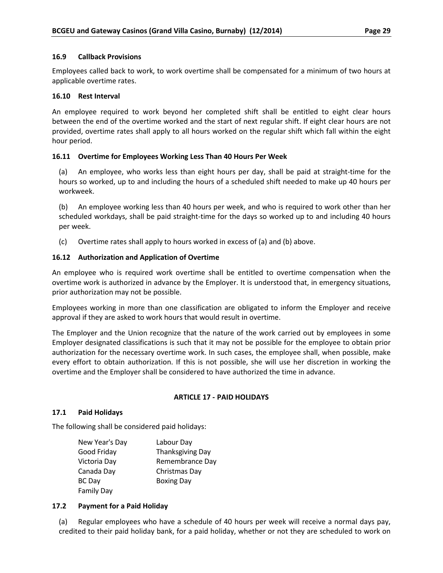#### <span id="page-33-0"></span>**16.9 Callback Provisions**

Employees called back to work, to work overtime shall be compensated for a minimum of two hours at applicable overtime rates.

#### <span id="page-33-1"></span>**16.10 Rest Interval**

An employee required to work beyond her completed shift shall be entitled to eight clear hours between the end of the overtime worked and the start of next regular shift. If eight clear hours are not provided, overtime rates shall apply to all hours worked on the regular shift which fall within the eight hour period.

#### <span id="page-33-2"></span>**16.11 Overtime for Employees Working Less Than 40 Hours Per Week**

(a) An employee, who works less than eight hours per day, shall be paid at straight-time for the hours so worked, up to and including the hours of a scheduled shift needed to make up 40 hours per workweek.

(b) An employee working less than 40 hours per week, and who is required to work other than her scheduled workdays, shall be paid straight-time for the days so worked up to and including 40 hours per week.

(c) Overtime rates shall apply to hours worked in excess of (a) and (b) above.

# <span id="page-33-3"></span>**16.12 Authorization and Application of Overtime**

An employee who is required work overtime shall be entitled to overtime compensation when the overtime work is authorized in advance by the Employer. It is understood that, in emergency situations, prior authorization may not be possible.

Employees working in more than one classification are obligated to inform the Employer and receive approval if they are asked to work hours that would result in overtime.

The Employer and the Union recognize that the nature of the work carried out by employees in some Employer designated classifications is such that it may not be possible for the employee to obtain prior authorization for the necessary overtime work. In such cases, the employee shall, when possible, make every effort to obtain authorization. If this is not possible, she will use her discretion in working the overtime and the Employer shall be considered to have authorized the time in advance.

#### **ARTICLE 17 - PAID HOLIDAYS**

#### <span id="page-33-5"></span><span id="page-33-4"></span>**17.1 Paid Holidays**

The following shall be considered paid holidays:

| Labour Day              |
|-------------------------|
| <b>Thanksgiving Day</b> |
| Remembrance Day         |
| Christmas Day           |
| <b>Boxing Day</b>       |
|                         |
|                         |

#### <span id="page-33-6"></span>**17.2 Payment for a Paid Holiday**

(a) Regular employees who have a schedule of 40 hours per week will receive a normal days pay, credited to their paid holiday bank, for a paid holiday, whether or not they are scheduled to work on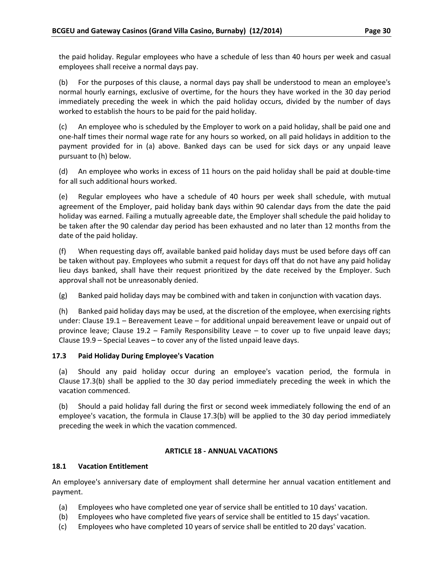the paid holiday. Regular employees who have a schedule of less than 40 hours per week and casual employees shall receive a normal days pay.

(b) For the purposes of this clause, a normal days pay shall be understood to mean an employee's normal hourly earnings, exclusive of overtime, for the hours they have worked in the 30 day period immediately preceding the week in which the paid holiday occurs, divided by the number of days worked to establish the hours to be paid for the paid holiday.

(c) An employee who is scheduled by the Employer to work on a paid holiday, shall be paid one and one-half times their normal wage rate for any hours so worked, on all paid holidays in addition to the payment provided for in (a) above. Banked days can be used for sick days or any unpaid leave pursuant to (h) below.

(d) An employee who works in excess of 11 hours on the paid holiday shall be paid at double-time for all such additional hours worked.

(e) Regular employees who have a schedule of 40 hours per week shall schedule, with mutual agreement of the Employer, paid holiday bank days within 90 calendar days from the date the paid holiday was earned. Failing a mutually agreeable date, the Employer shall schedule the paid holiday to be taken after the 90 calendar day period has been exhausted and no later than 12 months from the date of the paid holiday.

(f) When requesting days off, available banked paid holiday days must be used before days off can be taken without pay. Employees who submit a request for days off that do not have any paid holiday lieu days banked, shall have their request prioritized by the date received by the Employer. Such approval shall not be unreasonably denied.

(g) Banked paid holiday days may be combined with and taken in conjunction with vacation days.

(h) Banked paid holiday days may be used, at the discretion of the employee, when exercising rights under: Clause 19.1 – Bereavement Leave – for additional unpaid bereavement leave or unpaid out of province leave; Clause 19.2 – Family Responsibility Leave – to cover up to five unpaid leave days; Clause 19.9 – Special Leaves – to cover any of the listed unpaid leave days.

#### <span id="page-34-0"></span>**17.3 Paid Holiday During Employee's Vacation**

(a) Should any paid holiday occur during an employee's vacation period, the formula in Clause 17.3(b) shall be applied to the 30 day period immediately preceding the week in which the vacation commenced.

(b) Should a paid holiday fall during the first or second week immediately following the end of an employee's vacation, the formula in Clause 17.3(b) will be applied to the 30 day period immediately preceding the week in which the vacation commenced.

#### **ARTICLE 18 - ANNUAL VACATIONS**

#### <span id="page-34-2"></span><span id="page-34-1"></span>**18.1 Vacation Entitlement**

An employee's anniversary date of employment shall determine her annual vacation entitlement and payment.

- (a) Employees who have completed one year of service shall be entitled to 10 days' vacation.
- (b) Employees who have completed five years of service shall be entitled to 15 days' vacation.
- (c) Employees who have completed 10 years of service shall be entitled to 20 days' vacation.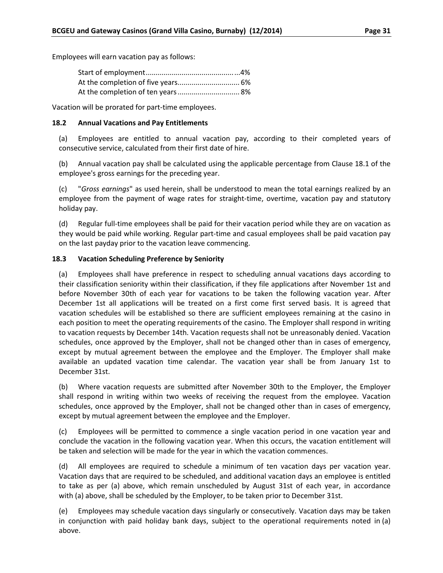Employees will earn vacation pay as follows:

Vacation will be prorated for part-time employees.

#### <span id="page-35-0"></span>**18.2 Annual Vacations and Pay Entitlements**

(a) Employees are entitled to annual vacation pay, according to their completed years of consecutive service, calculated from their first date of hire.

(b) Annual vacation pay shall be calculated using the applicable percentage from Clause 18.1 of the employee's gross earnings for the preceding year.

(c) "*Gross earnings*" as used herein, shall be understood to mean the total earnings realized by an employee from the payment of wage rates for straight-time, overtime, vacation pay and statutory holiday pay.

(d) Regular full-time employees shall be paid for their vacation period while they are on vacation as they would be paid while working. Regular part-time and casual employees shall be paid vacation pay on the last payday prior to the vacation leave commencing.

# <span id="page-35-1"></span>**18.3 Vacation Scheduling Preference by Seniority**

(a) Employees shall have preference in respect to scheduling annual vacations days according to their classification seniority within their classification, if they file applications after November 1st and before November 30th of each year for vacations to be taken the following vacation year. After December 1st all applications will be treated on a first come first served basis. It is agreed that vacation schedules will be established so there are sufficient employees remaining at the casino in each position to meet the operating requirements of the casino. The Employer shall respond in writing to vacation requests by December 14th. Vacation requests shall not be unreasonably denied. Vacation schedules, once approved by the Employer, shall not be changed other than in cases of emergency, except by mutual agreement between the employee and the Employer. The Employer shall make available an updated vacation time calendar. The vacation year shall be from January 1st to December 31st.

(b) Where vacation requests are submitted after November 30th to the Employer, the Employer shall respond in writing within two weeks of receiving the request from the employee. Vacation schedules, once approved by the Employer, shall not be changed other than in cases of emergency, except by mutual agreement between the employee and the Employer.

(c) Employees will be permitted to commence a single vacation period in one vacation year and conclude the vacation in the following vacation year. When this occurs, the vacation entitlement will be taken and selection will be made for the year in which the vacation commences.

(d) All employees are required to schedule a minimum of ten vacation days per vacation year. Vacation days that are required to be scheduled, and additional vacation days an employee is entitled to take as per (a) above, which remain unscheduled by August 31st of each year, in accordance with (a) above, shall be scheduled by the Employer, to be taken prior to December 31st.

(e) Employees may schedule vacation days singularly or consecutively. Vacation days may be taken in conjunction with paid holiday bank days, subject to the operational requirements noted in (a) above.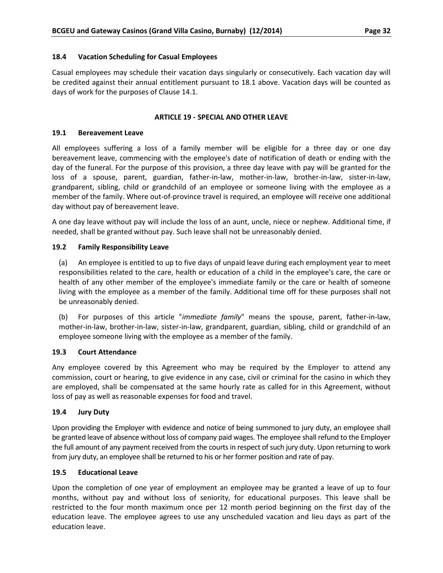#### <span id="page-36-0"></span>**18.4 Vacation Scheduling for Casual Employees**

Casual employees may schedule their vacation days singularly or consecutively. Each vacation day will be credited against their annual entitlement pursuant to 18.1 above. Vacation days will be counted as days of work for the purposes of Clause 14.1.

#### **ARTICLE 19 - SPECIAL AND OTHER LEAVE**

#### <span id="page-36-2"></span><span id="page-36-1"></span>**19.1 Bereavement Leave**

All employees suffering a loss of a family member will be eligible for a three day or one day bereavement leave, commencing with the employee's date of notification of death or ending with the day of the funeral. For the purpose of this provision, a three day leave with pay will be granted for the loss of a spouse, parent, guardian, father-in-law, mother-in-law, brother-in-law, sister-in-law, grandparent, sibling, child or grandchild of an employee or someone living with the employee as a member of the family. Where out-of-province travel is required, an employee will receive one additional day without pay of bereavement leave.

A one day leave without pay will include the loss of an aunt, uncle, niece or nephew. Additional time, if needed, shall be granted without pay. Such leave shall not be unreasonably denied.

#### <span id="page-36-3"></span>**19.2 Family Responsibility Leave**

(a) An employee is entitled to up to five days of unpaid leave during each employment year to meet responsibilities related to the care, health or education of a child in the employee's care, the care or health of any other member of the employee's immediate family or the care or health of someone living with the employee as a member of the family. Additional time off for these purposes shall not be unreasonably denied.

(b) For purposes of this article "*immediate family*" means the spouse, parent, father-in-law, mother-in-law, brother-in-law, sister-in-law, grandparent, guardian, sibling, child or grandchild of an employee someone living with the employee as a member of the family.

#### <span id="page-36-4"></span>**19.3 Court Attendance**

Any employee covered by this Agreement who may be required by the Employer to attend any commission, court or hearing, to give evidence in any case, civil or criminal for the casino in which they are employed, shall be compensated at the same hourly rate as called for in this Agreement, without loss of pay as well as reasonable expenses for food and travel.

#### <span id="page-36-5"></span>**19.4 Jury Duty**

Upon providing the Employer with evidence and notice of being summoned to jury duty, an employee shall be granted leave of absence without loss of company paid wages. The employee shall refund to the Employer the full amount of any payment received from the courts in respect of such jury duty. Upon returning to work from jury duty, an employee shall be returned to his or her former position and rate of pay.

#### <span id="page-36-6"></span>**19.5 Educational Leave**

Upon the completion of one year of employment an employee may be granted a leave of up to four months, without pay and without loss of seniority, for educational purposes. This leave shall be restricted to the four month maximum once per 12 month period beginning on the first day of the education leave. The employee agrees to use any unscheduled vacation and lieu days as part of the education leave.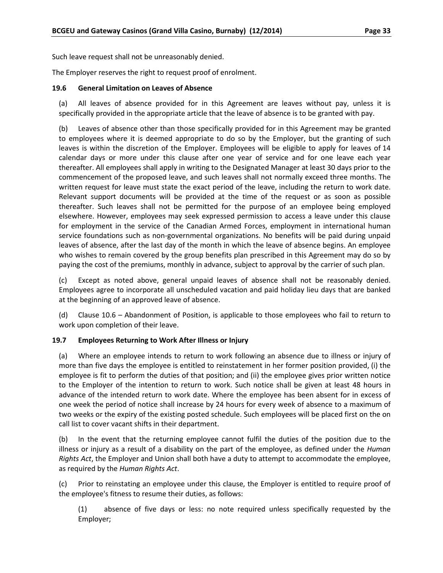Such leave request shall not be unreasonably denied.

The Employer reserves the right to request proof of enrolment.

#### <span id="page-37-0"></span>**19.6 General Limitation on Leaves of Absence**

(a) All leaves of absence provided for in this Agreement are leaves without pay, unless it is specifically provided in the appropriate article that the leave of absence is to be granted with pay.

(b) Leaves of absence other than those specifically provided for in this Agreement may be granted to employees where it is deemed appropriate to do so by the Employer, but the granting of such leaves is within the discretion of the Employer. Employees will be eligible to apply for leaves of 14 calendar days or more under this clause after one year of service and for one leave each year thereafter. All employees shall apply in writing to the Designated Manager at least 30 days prior to the commencement of the proposed leave, and such leaves shall not normally exceed three months. The written request for leave must state the exact period of the leave, including the return to work date. Relevant support documents will be provided at the time of the request or as soon as possible thereafter. Such leaves shall not be permitted for the purpose of an employee being employed elsewhere. However, employees may seek expressed permission to access a leave under this clause for employment in the service of the Canadian Armed Forces, employment in international human service foundations such as non-governmental organizations. No benefits will be paid during unpaid leaves of absence, after the last day of the month in which the leave of absence begins. An employee who wishes to remain covered by the group benefits plan prescribed in this Agreement may do so by paying the cost of the premiums, monthly in advance, subject to approval by the carrier of such plan.

(c) Except as noted above, general unpaid leaves of absence shall not be reasonably denied. Employees agree to incorporate all unscheduled vacation and paid holiday lieu days that are banked at the beginning of an approved leave of absence.

(d) Clause 10.6 – Abandonment of Position, is applicable to those employees who fail to return to work upon completion of their leave.

#### <span id="page-37-1"></span>**19.7 Employees Returning to Work After Illness or Injury**

(a) Where an employee intends to return to work following an absence due to illness or injury of more than five days the employee is entitled to reinstatement in her former position provided, (i) the employee is fit to perform the duties of that position; and (ii) the employee gives prior written notice to the Employer of the intention to return to work. Such notice shall be given at least 48 hours in advance of the intended return to work date. Where the employee has been absent for in excess of one week the period of notice shall increase by 24 hours for every week of absence to a maximum of two weeks or the expiry of the existing posted schedule. Such employees will be placed first on the on call list to cover vacant shifts in their department.

(b) In the event that the returning employee cannot fulfil the duties of the position due to the illness or injury as a result of a disability on the part of the employee, as defined under the *Human Rights Act*, the Employer and Union shall both have a duty to attempt to accommodate the employee, as required by the *Human Rights Act*.

(c) Prior to reinstating an employee under this clause, the Employer is entitled to require proof of the employee's fitness to resume their duties, as follows:

(1) absence of five days or less: no note required unless specifically requested by the Employer;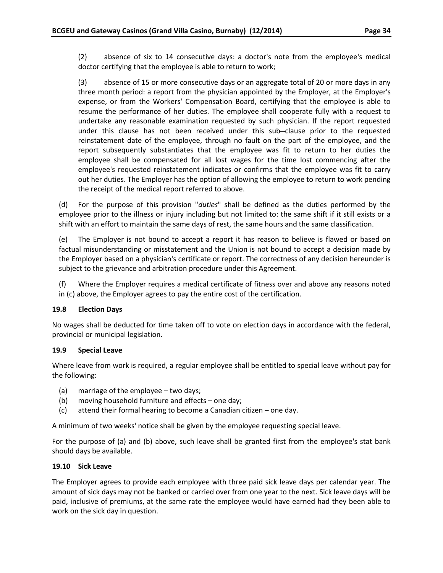(2) absence of six to 14 consecutive days: a doctor's note from the employee's medical doctor certifying that the employee is able to return to work;

(3) absence of 15 or more consecutive days or an aggregate total of 20 or more days in any three month period: a report from the physician appointed by the Employer, at the Employer's expense, or from the Workers' Compensation Board, certifying that the employee is able to resume the performance of her duties. The employee shall cooperate fully with a request to undertake any reasonable examination requested by such physician. If the report requested under this clause has not been received under this sub-clause prior to the requested reinstatement date of the employee, through no fault on the part of the employee, and the report subsequently substantiates that the employee was fit to return to her duties the employee shall be compensated for all lost wages for the time lost commencing after the employee's requested reinstatement indicates or confirms that the employee was fit to carry out her duties. The Employer has the option of allowing the employee to return to work pending the receipt of the medical report referred to above.

(d) For the purpose of this provision "*duties*" shall be defined as the duties performed by the employee prior to the illness or injury including but not limited to: the same shift if it still exists or a shift with an effort to maintain the same days of rest, the same hours and the same classification.

(e) The Employer is not bound to accept a report it has reason to believe is flawed or based on factual misunderstanding or misstatement and the Union is not bound to accept a decision made by the Employer based on a physician's certificate or report. The correctness of any decision hereunder is subject to the grievance and arbitration procedure under this Agreement.

(f) Where the Employer requires a medical certificate of fitness over and above any reasons noted in (c) above, the Employer agrees to pay the entire cost of the certification.

#### <span id="page-38-0"></span>**19.8 Election Days**

No wages shall be deducted for time taken off to vote on election days in accordance with the federal, provincial or municipal legislation.

#### <span id="page-38-1"></span>**19.9 Special Leave**

Where leave from work is required, a regular employee shall be entitled to special leave without pay for the following:

- (a) marriage of the employee two days;
- (b) moving household furniture and effects one day;
- (c) attend their formal hearing to become a Canadian citizen one day.

A minimum of two weeks' notice shall be given by the employee requesting special leave.

For the purpose of (a) and (b) above, such leave shall be granted first from the employee's stat bank should days be available.

#### <span id="page-38-2"></span>**19.10 Sick Leave**

The Employer agrees to provide each employee with three paid sick leave days per calendar year. The amount of sick days may not be banked or carried over from one year to the next. Sick leave days will be paid, inclusive of premiums, at the same rate the employee would have earned had they been able to work on the sick day in question.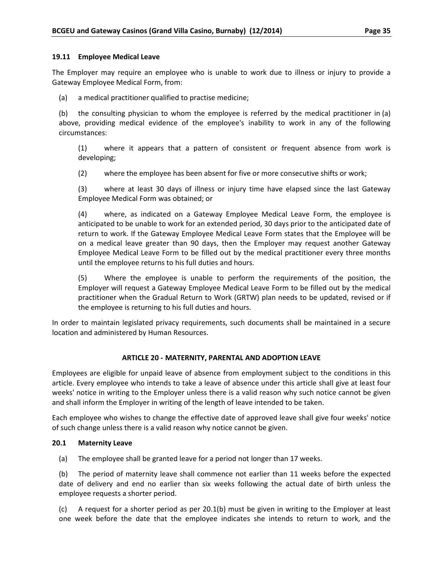#### <span id="page-39-0"></span>**19.11 Employee Medical Leave**

The Employer may require an employee who is unable to work due to illness or injury to provide a Gateway Employee Medical Form, from:

(a) a medical practitioner qualified to practise medicine;

(b) the consulting physician to whom the employee is referred by the medical practitioner in (a) above, providing medical evidence of the employee's inability to work in any of the following circumstances:

(1) where it appears that a pattern of consistent or frequent absence from work is developing;

(2) where the employee has been absent for five or more consecutive shifts or work;

(3) where at least 30 days of illness or injury time have elapsed since the last Gateway Employee Medical Form was obtained; or

(4) where, as indicated on a Gateway Employee Medical Leave Form, the employee is anticipated to be unable to work for an extended period, 30 days prior to the anticipated date of return to work. If the Gateway Employee Medical Leave Form states that the Employee will be on a medical leave greater than 90 days, then the Employer may request another Gateway Employee Medical Leave Form to be filled out by the medical practitioner every three months until the employee returns to his full duties and hours.

(5) Where the employee is unable to perform the requirements of the position, the Employer will request a Gateway Employee Medical Leave Form to be filled out by the medical practitioner when the Gradual Return to Work (GRTW) plan needs to be updated, revised or if the employee is returning to his full duties and hours.

In order to maintain legislated privacy requirements, such documents shall be maintained in a secure location and administered by Human Resources.

#### **ARTICLE 20 - MATERNITY, PARENTAL AND ADOPTION LEAVE**

<span id="page-39-1"></span>Employees are eligible for unpaid leave of absence from employment subject to the conditions in this article. Every employee who intends to take a leave of absence under this article shall give at least four weeks' notice in writing to the Employer unless there is a valid reason why such notice cannot be given and shall inform the Employer in writing of the length of leave intended to be taken.

Each employee who wishes to change the effective date of approved leave shall give four weeks' notice of such change unless there is a valid reason why notice cannot be given.

#### <span id="page-39-2"></span>**20.1 Maternity Leave**

(a) The employee shall be granted leave for a period not longer than 17 weeks.

(b) The period of maternity leave shall commence not earlier than 11 weeks before the expected date of delivery and end no earlier than six weeks following the actual date of birth unless the employee requests a shorter period.

(c) A request for a shorter period as per 20.1(b) must be given in writing to the Employer at least one week before the date that the employee indicates she intends to return to work, and the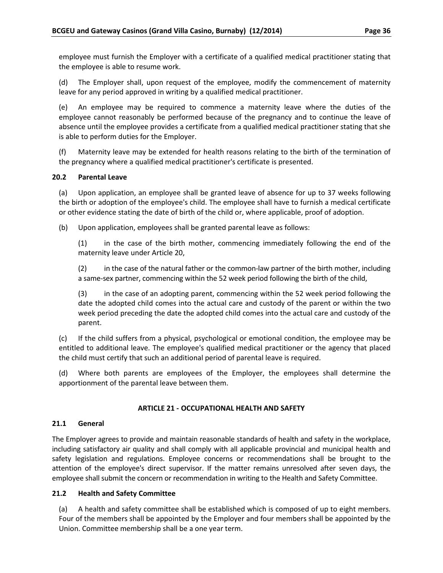employee must furnish the Employer with a certificate of a qualified medical practitioner stating that the employee is able to resume work.

(d) The Employer shall, upon request of the employee, modify the commencement of maternity leave for any period approved in writing by a qualified medical practitioner.

(e) An employee may be required to commence a maternity leave where the duties of the employee cannot reasonably be performed because of the pregnancy and to continue the leave of absence until the employee provides a certificate from a qualified medical practitioner stating that she is able to perform duties for the Employer.

(f) Maternity leave may be extended for health reasons relating to the birth of the termination of the pregnancy where a qualified medical practitioner's certificate is presented.

#### <span id="page-40-0"></span>**20.2 Parental Leave**

(a) Upon application, an employee shall be granted leave of absence for up to 37 weeks following the birth or adoption of the employee's child. The employee shall have to furnish a medical certificate or other evidence stating the date of birth of the child or, where applicable, proof of adoption.

(b) Upon application, employees shall be granted parental leave as follows:

(1) in the case of the birth mother, commencing immediately following the end of the maternity leave under Article 20,

(2) in the case of the natural father or the common-law partner of the birth mother, including a same-sex partner, commencing within the 52 week period following the birth of the child,

(3) in the case of an adopting parent, commencing within the 52 week period following the date the adopted child comes into the actual care and custody of the parent or within the two week period preceding the date the adopted child comes into the actual care and custody of the parent.

(c) If the child suffers from a physical, psychological or emotional condition, the employee may be entitled to additional leave. The employee's qualified medical practitioner or the agency that placed the child must certify that such an additional period of parental leave is required.

(d) Where both parents are employees of the Employer, the employees shall determine the apportionment of the parental leave between them.

#### **ARTICLE 21 - OCCUPATIONAL HEALTH AND SAFETY**

#### <span id="page-40-2"></span><span id="page-40-1"></span>**21.1 General**

The Employer agrees to provide and maintain reasonable standards of health and safety in the workplace, including satisfactory air quality and shall comply with all applicable provincial and municipal health and safety legislation and regulations. Employee concerns or recommendations shall be brought to the attention of the employee's direct supervisor. If the matter remains unresolved after seven days, the employee shall submit the concern or recommendation in writing to the Health and Safety Committee.

#### <span id="page-40-3"></span>**21.2 Health and Safety Committee**

(a) A health and safety committee shall be established which is composed of up to eight members. Four of the members shall be appointed by the Employer and four members shall be appointed by the Union. Committee membership shall be a one year term.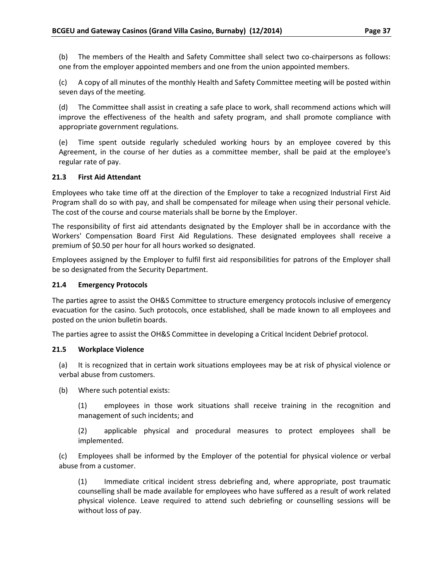(b) The members of the Health and Safety Committee shall select two co-chairpersons as follows: one from the employer appointed members and one from the union appointed members.

(c) A copy of all minutes of the monthly Health and Safety Committee meeting will be posted within seven days of the meeting.

(d) The Committee shall assist in creating a safe place to work, shall recommend actions which will improve the effectiveness of the health and safety program, and shall promote compliance with appropriate government regulations.

(e) Time spent outside regularly scheduled working hours by an employee covered by this Agreement, in the course of her duties as a committee member, shall be paid at the employee's regular rate of pay.

#### <span id="page-41-0"></span>**21.3 First Aid Attendant**

Employees who take time off at the direction of the Employer to take a recognized Industrial First Aid Program shall do so with pay, and shall be compensated for mileage when using their personal vehicle. The cost of the course and course materials shall be borne by the Employer.

The responsibility of first aid attendants designated by the Employer shall be in accordance with the Workers' Compensation Board First Aid Regulations. These designated employees shall receive a premium of \$0.50 per hour for all hours worked so designated.

Employees assigned by the Employer to fulfil first aid responsibilities for patrons of the Employer shall be so designated from the Security Department.

#### <span id="page-41-1"></span>**21.4 Emergency Protocols**

The parties agree to assist the OH&S Committee to structure emergency protocols inclusive of emergency evacuation for the casino. Such protocols, once established, shall be made known to all employees and posted on the union bulletin boards.

The parties agree to assist the OH&S Committee in developing a Critical Incident Debrief protocol.

#### <span id="page-41-2"></span>**21.5 Workplace Violence**

(a) It is recognized that in certain work situations employees may be at risk of physical violence or verbal abuse from customers.

(b) Where such potential exists:

(1) employees in those work situations shall receive training in the recognition and management of such incidents; and

(2) applicable physical and procedural measures to protect employees shall be implemented.

(c) Employees shall be informed by the Employer of the potential for physical violence or verbal abuse from a customer.

(1) Immediate critical incident stress debriefing and, where appropriate, post traumatic counselling shall be made available for employees who have suffered as a result of work related physical violence. Leave required to attend such debriefing or counselling sessions will be without loss of pay.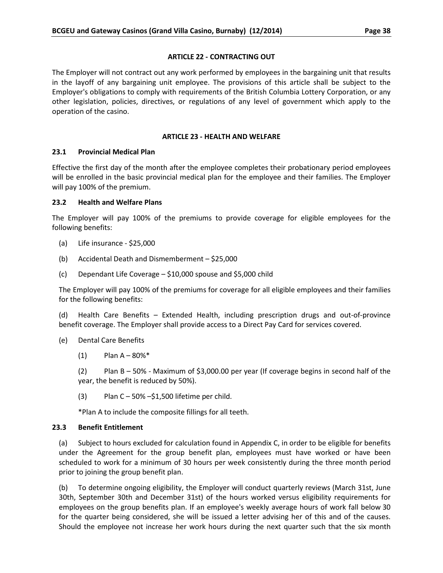### **ARTICLE 22 - CONTRACTING OUT**

<span id="page-42-0"></span>The Employer will not contract out any work performed by employees in the bargaining unit that results in the layoff of any bargaining unit employee. The provisions of this article shall be subject to the Employer's obligations to comply with requirements of the British Columbia Lottery Corporation, or any other legislation, policies, directives, or regulations of any level of government which apply to the operation of the casino.

### **ARTICLE 23 - HEALTH AND WELFARE**

# <span id="page-42-2"></span><span id="page-42-1"></span>**23.1 Provincial Medical Plan**

Effective the first day of the month after the employee completes their probationary period employees will be enrolled in the basic provincial medical plan for the employee and their families. The Employer will pay 100% of the premium.

# <span id="page-42-3"></span>**23.2 Health and Welfare Plans**

The Employer will pay 100% of the premiums to provide coverage for eligible employees for the following benefits:

- (a) Life insurance \$25,000
- (b) Accidental Death and Dismemberment \$25,000
- (c) Dependant Life Coverage \$10,000 spouse and \$5,000 child

The Employer will pay 100% of the premiums for coverage for all eligible employees and their families for the following benefits:

(d) Health Care Benefits – Extended Health, including prescription drugs and out-of-province benefit coverage. The Employer shall provide access to a Direct Pay Card for services covered.

- (e) Dental Care Benefits
	- $(1)$  Plan A 80% $*$

(2) Plan B – 50% - Maximum of \$3,000.00 per year (If coverage begins in second half of the year, the benefit is reduced by 50%).

 $(3)$  Plan C – 50% –\$1,500 lifetime per child.

\*Plan A to include the composite fillings for all teeth.

# <span id="page-42-4"></span>**23.3 Benefit Entitlement**

(a) Subject to hours excluded for calculation found in Appendix C, in order to be eligible for benefits under the Agreement for the group benefit plan, employees must have worked or have been scheduled to work for a minimum of 30 hours per week consistently during the three month period prior to joining the group benefit plan.

(b) To determine ongoing eligibility, the Employer will conduct quarterly reviews (March 31st, June 30th, September 30th and December 31st) of the hours worked versus eligibility requirements for employees on the group benefits plan. If an employee's weekly average hours of work fall below 30 for the quarter being considered, she will be issued a letter advising her of this and of the causes. Should the employee not increase her work hours during the next quarter such that the six month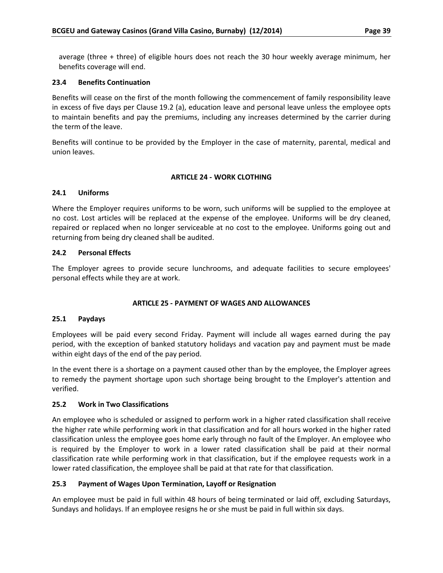average (three + three) of eligible hours does not reach the 30 hour weekly average minimum, her benefits coverage will end.

### <span id="page-43-0"></span>**23.4 Benefits Continuation**

Benefits will cease on the first of the month following the commencement of family responsibility leave in excess of five days per Clause 19.2 (a), education leave and personal leave unless the employee opts to maintain benefits and pay the premiums, including any increases determined by the carrier during the term of the leave.

Benefits will continue to be provided by the Employer in the case of maternity, parental, medical and union leaves.

#### **ARTICLE 24 - WORK CLOTHING**

#### <span id="page-43-2"></span><span id="page-43-1"></span>**24.1 Uniforms**

Where the Employer requires uniforms to be worn, such uniforms will be supplied to the employee at no cost. Lost articles will be replaced at the expense of the employee. Uniforms will be dry cleaned, repaired or replaced when no longer serviceable at no cost to the employee. Uniforms going out and returning from being dry cleaned shall be audited.

# <span id="page-43-3"></span>**24.2 Personal Effects**

The Employer agrees to provide secure lunchrooms, and adequate facilities to secure employees' personal effects while they are at work.

#### **ARTICLE 25 - PAYMENT OF WAGES AND ALLOWANCES**

#### <span id="page-43-5"></span><span id="page-43-4"></span>**25.1 Paydays**

Employees will be paid every second Friday. Payment will include all wages earned during the pay period, with the exception of banked statutory holidays and vacation pay and payment must be made within eight days of the end of the pay period.

In the event there is a shortage on a payment caused other than by the employee, the Employer agrees to remedy the payment shortage upon such shortage being brought to the Employer's attention and verified.

#### <span id="page-43-6"></span>**25.2 Work in Two Classifications**

An employee who is scheduled or assigned to perform work in a higher rated classification shall receive the higher rate while performing work in that classification and for all hours worked in the higher rated classification unless the employee goes home early through no fault of the Employer. An employee who is required by the Employer to work in a lower rated classification shall be paid at their normal classification rate while performing work in that classification, but if the employee requests work in a lower rated classification, the employee shall be paid at that rate for that classification.

# <span id="page-43-7"></span>**25.3 Payment of Wages Upon Termination, Layoff or Resignation**

An employee must be paid in full within 48 hours of being terminated or laid off, excluding Saturdays, Sundays and holidays. If an employee resigns he or she must be paid in full within six days.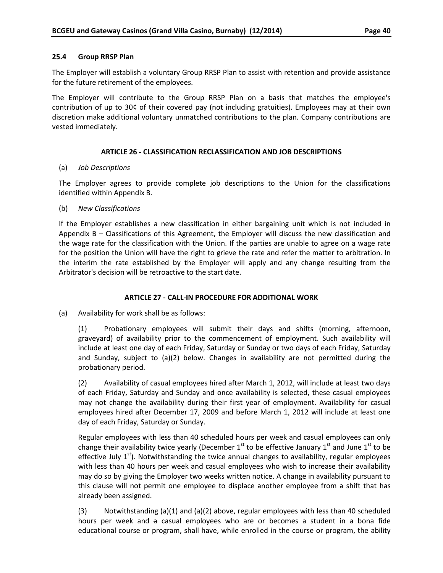#### <span id="page-44-0"></span>**25.4 Group RRSP Plan**

The Employer will establish a voluntary Group RRSP Plan to assist with retention and provide assistance for the future retirement of the employees.

The Employer will contribute to the Group RRSP Plan on a basis that matches the employee's contribution of up to 30¢ of their covered pay (not including gratuities). Employees may at their own discretion make additional voluntary unmatched contributions to the plan. Company contributions are vested immediately.

#### **ARTICLE 26 - CLASSIFICATION RECLASSIFICATION AND JOB DESCRIPTIONS**

#### <span id="page-44-1"></span>(a) *Job Descriptions*

The Employer agrees to provide complete job descriptions to the Union for the classifications identified within Appendix B.

#### (b) *New Classifications*

If the Employer establishes a new classification in either bargaining unit which is not included in Appendix B – Classifications of this Agreement, the Employer will discuss the new classification and the wage rate for the classification with the Union. If the parties are unable to agree on a wage rate for the position the Union will have the right to grieve the rate and refer the matter to arbitration. In the interim the rate established by the Employer will apply and any change resulting from the Arbitrator's decision will be retroactive to the start date.

#### **ARTICLE 27 - CALL-IN PROCEDURE FOR ADDITIONAL WORK**

<span id="page-44-2"></span>(a) Availability for work shall be as follows:

(1) Probationary employees will submit their days and shifts (morning, afternoon, graveyard) of availability prior to the commencement of employment. Such availability will include at least one day of each Friday, Saturday or Sunday or two days of each Friday, Saturday and Sunday, subject to (a)(2) below. Changes in availability are not permitted during the probationary period.

(2) Availability of casual employees hired after March 1, 2012, will include at least two days of each Friday, Saturday and Sunday and once availability is selected, these casual employees may not change the availability during their first year of employment. Availability for casual employees hired after December 17, 2009 and before March 1, 2012 will include at least one day of each Friday, Saturday or Sunday.

Regular employees with less than 40 scheduled hours per week and casual employees can only change their availability twice yearly (December  $1^{st}$  to be effective January  $1^{st}$  and June  $1^{st}$  to be effective July  $1<sup>st</sup>$ . Notwithstanding the twice annual changes to availability, regular employees with less than 40 hours per week and casual employees who wish to increase their availability may do so by giving the Employer two weeks written notice. A change in availability pursuant to this clause will not permit one employee to displace another employee from a shift that has already been assigned.

(3) Notwithstanding (a)(1) and (a)(2) above, regular employees with less than 40 scheduled hours per week and a casual employees who are or becomes a student in a bona fide educational course or program, shall have, while enrolled in the course or program, the ability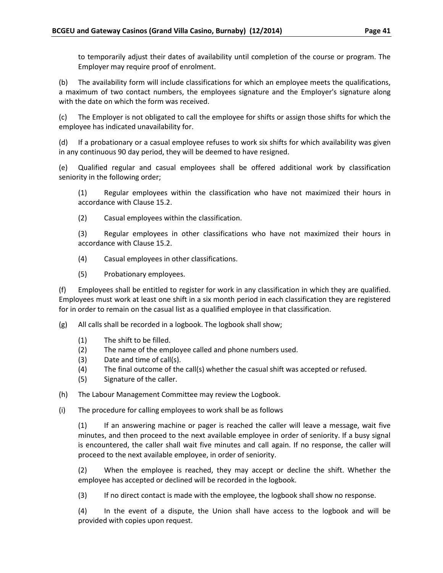to temporarily adjust their dates of availability until completion of the course or program. The Employer may require proof of enrolment.

(b) The availability form will include classifications for which an employee meets the qualifications, a maximum of two contact numbers, the employees signature and the Employer's signature along with the date on which the form was received.

(c) The Employer is not obligated to call the employee for shifts or assign those shifts for which the employee has indicated unavailability for.

(d) If a probationary or a casual employee refuses to work six shifts for which availability was given in any continuous 90 day period, they will be deemed to have resigned.

(e) Qualified regular and casual employees shall be offered additional work by classification seniority in the following order;

(1) Regular employees within the classification who have not maximized their hours in accordance with Clause 15.2.

(2) Casual employees within the classification.

(3) Regular employees in other classifications who have not maximized their hours in accordance with Clause 15.2.

- (4) Casual employees in other classifications.
- (5) Probationary employees.

(f) Employees shall be entitled to register for work in any classification in which they are qualified. Employees must work at least one shift in a six month period in each classification they are registered for in order to remain on the casual list as a qualified employee in that classification.

(g) All calls shall be recorded in a logbook. The logbook shall show;

- (1) The shift to be filled.
- (2) The name of the employee called and phone numbers used.
- (3) Date and time of call(s).
- (4) The final outcome of the call(s) whether the casual shift was accepted or refused.
- (5) Signature of the caller.
- (h) The Labour Management Committee may review the Logbook.
- (i) The procedure for calling employees to work shall be as follows

(1) If an answering machine or pager is reached the caller will leave a message, wait five minutes, and then proceed to the next available employee in order of seniority. If a busy signal is encountered, the caller shall wait five minutes and call again. If no response, the caller will proceed to the next available employee, in order of seniority.

(2) When the employee is reached, they may accept or decline the shift. Whether the employee has accepted or declined will be recorded in the logbook.

(3) If no direct contact is made with the employee, the logbook shall show no response.

(4) In the event of a dispute, the Union shall have access to the logbook and will be provided with copies upon request.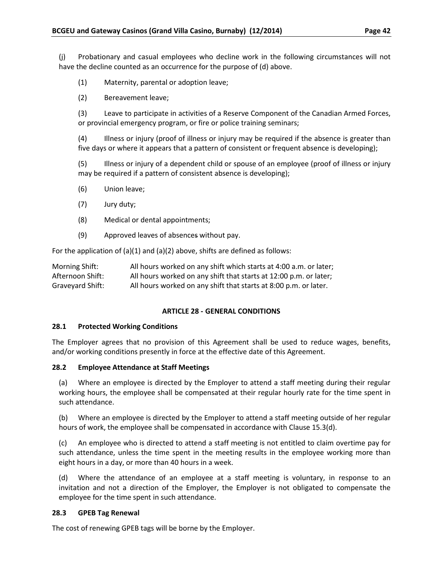(j) Probationary and casual employees who decline work in the following circumstances will not have the decline counted as an occurrence for the purpose of (d) above.

- (1) Maternity, parental or adoption leave;
- (2) Bereavement leave;

(3) Leave to participate in activities of a Reserve Component of the Canadian Armed Forces, or provincial emergency program, or fire or police training seminars;

(4) Illness or injury (proof of illness or injury may be required if the absence is greater than five days or where it appears that a pattern of consistent or frequent absence is developing);

(5) Illness or injury of a dependent child or spouse of an employee (proof of illness or injury may be required if a pattern of consistent absence is developing);

- (6) Union leave;
- (7) Jury duty;
- (8) Medical or dental appointments;
- (9) Approved leaves of absences without pay.

For the application of (a)(1) and (a)(2) above, shifts are defined as follows:

| Morning Shift:   | All hours worked on any shift which starts at 4:00 a.m. or later; |
|------------------|-------------------------------------------------------------------|
| Afternoon Shift: | All hours worked on any shift that starts at 12:00 p.m. or later; |
| Graveyard Shift: | All hours worked on any shift that starts at 8:00 p.m. or later.  |

#### **ARTICLE 28 - GENERAL CONDITIONS**

#### <span id="page-46-1"></span><span id="page-46-0"></span>**28.1 Protected Working Conditions**

The Employer agrees that no provision of this Agreement shall be used to reduce wages, benefits, and/or working conditions presently in force at the effective date of this Agreement.

#### <span id="page-46-2"></span>**28.2 Employee Attendance at Staff Meetings**

(a) Where an employee is directed by the Employer to attend a staff meeting during their regular working hours, the employee shall be compensated at their regular hourly rate for the time spent in such attendance.

(b) Where an employee is directed by the Employer to attend a staff meeting outside of her regular hours of work, the employee shall be compensated in accordance with Clause 15.3(d).

(c) An employee who is directed to attend a staff meeting is not entitled to claim overtime pay for such attendance, unless the time spent in the meeting results in the employee working more than eight hours in a day, or more than 40 hours in a week.

(d) Where the attendance of an employee at a staff meeting is voluntary, in response to an invitation and not a direction of the Employer, the Employer is not obligated to compensate the employee for the time spent in such attendance.

#### <span id="page-46-3"></span>**28.3 GPEB Tag Renewal**

The cost of renewing GPEB tags will be borne by the Employer.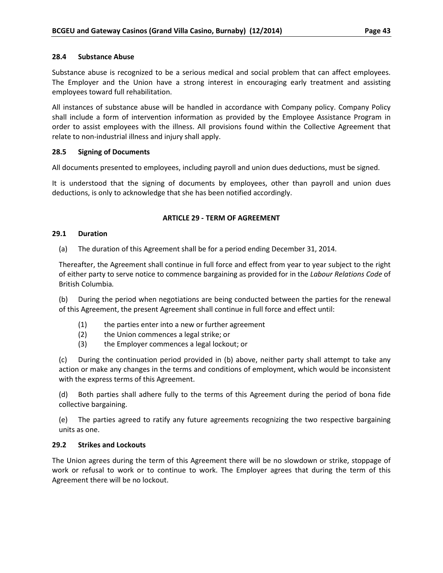#### <span id="page-47-0"></span>**28.4 Substance Abuse**

Substance abuse is recognized to be a serious medical and social problem that can affect employees. The Employer and the Union have a strong interest in encouraging early treatment and assisting employees toward full rehabilitation.

All instances of substance abuse will be handled in accordance with Company policy. Company Policy shall include a form of intervention information as provided by the Employee Assistance Program in order to assist employees with the illness. All provisions found within the Collective Agreement that relate to non-industrial illness and injury shall apply.

#### <span id="page-47-1"></span>**28.5 Signing of Documents**

All documents presented to employees, including payroll and union dues deductions, must be signed.

It is understood that the signing of documents by employees, other than payroll and union dues deductions, is only to acknowledge that she has been notified accordingly.

#### **ARTICLE 29 - TERM OF AGREEMENT**

#### <span id="page-47-3"></span><span id="page-47-2"></span>**29.1 Duration**

(a) The duration of this Agreement shall be for a period ending December 31, 2014.

Thereafter, the Agreement shall continue in full force and effect from year to year subject to the right of either party to serve notice to commence bargaining as provided for in the *Labour Relations Code* of British Columbia*.*

(b) During the period when negotiations are being conducted between the parties for the renewal of this Agreement, the present Agreement shall continue in full force and effect until:

- (1) the parties enter into a new or further agreement
- (2) the Union commences a legal strike; or
- (3) the Employer commences a legal lockout; or

(c) During the continuation period provided in (b) above, neither party shall attempt to take any action or make any changes in the terms and conditions of employment, which would be inconsistent with the express terms of this Agreement.

(d) Both parties shall adhere fully to the terms of this Agreement during the period of bona fide collective bargaining.

(e) The parties agreed to ratify any future agreements recognizing the two respective bargaining units as one.

#### <span id="page-47-4"></span>**29.2 Strikes and Lockouts**

The Union agrees during the term of this Agreement there will be no slowdown or strike, stoppage of work or refusal to work or to continue to work. The Employer agrees that during the term of this Agreement there will be no lockout.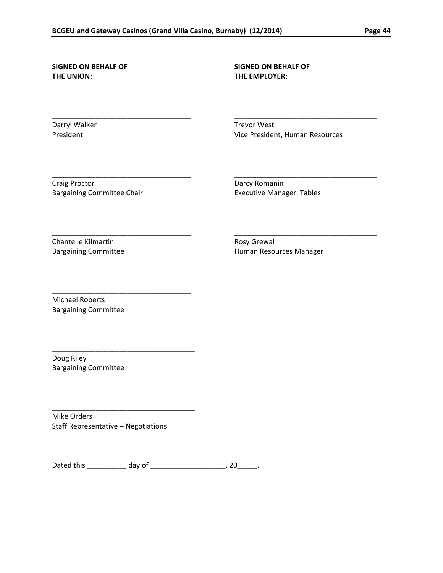\_\_\_\_\_\_\_\_\_\_\_\_\_\_\_\_\_\_\_\_\_\_\_\_\_\_\_\_\_\_\_\_\_\_\_ \_\_\_\_\_\_\_\_\_\_\_\_\_\_\_\_\_\_\_\_\_\_\_\_\_\_\_\_\_\_\_\_\_\_\_\_

\_\_\_\_\_\_\_\_\_\_\_\_\_\_\_\_\_\_\_\_\_\_\_\_\_\_\_\_\_\_\_\_\_\_\_ \_\_\_\_\_\_\_\_\_\_\_\_\_\_\_\_\_\_\_\_\_\_\_\_\_\_\_\_\_\_\_\_\_\_\_\_

\_\_\_\_\_\_\_\_\_\_\_\_\_\_\_\_\_\_\_\_\_\_\_\_\_\_\_\_\_\_\_\_\_\_\_ \_\_\_\_\_\_\_\_\_\_\_\_\_\_\_\_\_\_\_\_\_\_\_\_\_\_\_\_\_\_\_\_\_\_\_\_

# **THE UNION: THE EMPLOYER:**

# **SIGNED ON BEHALF OF SIGNED ON BEHALF OF**

Darryl Walker Trevor West

President **President** President, Human Resources

Craig Proctor **Darcy Romanin** Bargaining Committee Chair **Executive Manager**, Tables

Chantelle Kilmartin **Rosy Grewal** 

Bargaining Committee **Human Resources Manager Human Resources Manager** 

Michael Roberts Bargaining Committee

\_\_\_\_\_\_\_\_\_\_\_\_\_\_\_\_\_\_\_\_\_\_\_\_\_\_\_\_\_\_\_\_\_\_\_

\_\_\_\_\_\_\_\_\_\_\_\_\_\_\_\_\_\_\_\_\_\_\_\_\_\_\_\_\_\_\_\_\_\_\_\_

\_\_\_\_\_\_\_\_\_\_\_\_\_\_\_\_\_\_\_\_\_\_\_\_\_\_\_\_\_\_\_\_\_\_\_\_

Doug Riley Bargaining Committee

Mike Orders Staff Representative – Negotiations

| Dated this | A <sub>211</sub><br>udv |  |  |  |
|------------|-------------------------|--|--|--|
|------------|-------------------------|--|--|--|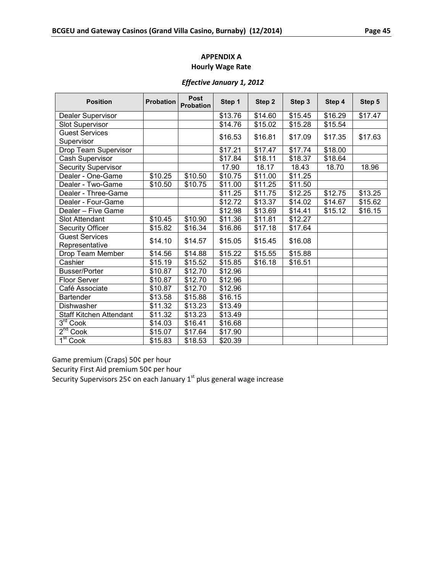#### *Effective January 1, 2012*

<span id="page-49-0"></span>

| <b>Position</b>                         | <b>Probation</b> | <b>Post</b><br><b>Probation</b> | Step 1              | Step 2  | Step 3  | Step 4  | Step 5  |
|-----------------------------------------|------------------|---------------------------------|---------------------|---------|---------|---------|---------|
| Dealer Supervisor                       |                  |                                 | \$13.76             | \$14.60 | \$15.45 | \$16.29 | \$17.47 |
| <b>Slot Supervisor</b>                  |                  |                                 | \$14.76             | \$15.02 | \$15.28 | \$15.54 |         |
| <b>Guest Services</b>                   |                  |                                 | \$16.53             | \$16.81 | \$17.09 | \$17.35 | \$17.63 |
| Supervisor                              |                  |                                 |                     |         |         |         |         |
| Drop Team Supervisor                    |                  |                                 | \$17.21             | \$17.47 | \$17.74 | \$18.00 |         |
| Cash Supervisor                         |                  |                                 | \$17.84             | \$18.11 | \$18.37 | \$18.64 |         |
| <b>Security Supervisor</b>              |                  |                                 | 17.90               | 18.17   | 18.43   | 18.70   | 18.96   |
| Dealer - One-Game                       | \$10.25          | \$10.50                         | \$10.75             | \$11.00 | \$11.25 |         |         |
| Dealer - Two-Game                       | \$10.50          | \$10.75                         | \$11.00             | \$11.25 | \$11.50 |         |         |
| Dealer - Three-Game                     |                  |                                 | \$11.25             | \$11.75 | \$12.25 | \$12.75 | \$13.25 |
| Dealer - Four-Game                      |                  |                                 | \$12.72             | \$13.37 | \$14.02 | \$14.67 | \$15.62 |
| Dealer - Five Game                      |                  |                                 | \$12.98             | \$13.69 | \$14.41 | \$15.12 | \$16.15 |
| <b>Slot Attendant</b>                   | \$10.45          | \$10.90                         | \$11.36             | \$11.81 | \$12.27 |         |         |
| <b>Security Officer</b>                 | \$15.82          | \$16.34                         | $\overline{$}16.86$ | \$17.18 | \$17.64 |         |         |
| <b>Guest Services</b><br>Representative | \$14.10          | \$14.57                         | \$15.05             | \$15.45 | \$16.08 |         |         |
| Drop Team Member                        | \$14.56          | \$14.88                         | \$15.22             | \$15.55 | \$15.88 |         |         |
| Cashier                                 | \$15.19          | \$15.52                         | \$15.85             | \$16.18 | \$16.51 |         |         |
| <b>Busser/Porter</b>                    | \$10.87          | \$12.70                         | \$12.96             |         |         |         |         |
| <b>Floor Server</b>                     | \$10.87          | \$12.70                         | \$12.96             |         |         |         |         |
| Café Associate                          | \$10.87          | \$12.70                         | \$12.96             |         |         |         |         |
| <b>Bartender</b>                        | \$13.58          | \$15.88                         | \$16.15             |         |         |         |         |
| Dishwasher                              | \$11.32          | \$13.23                         | \$13.49             |         |         |         |         |
| <b>Staff Kitchen Attendant</b>          | \$11.32          | \$13.23                         | \$13.49             |         |         |         |         |
| $3^{\text{rd}}$ Cook                    | \$14.03          | \$16.41                         | \$16.68             |         |         |         |         |
| 2 <sup>nd</sup> Cook                    | \$15.07          | \$17.64                         | \$17.90             |         |         |         |         |
| 1 <sup>st</sup> Cook                    | \$15.83          | \$18.53                         | \$20.39             |         |         |         |         |

Game premium (Craps) 50¢ per hour

Security First Aid premium 50¢ per hour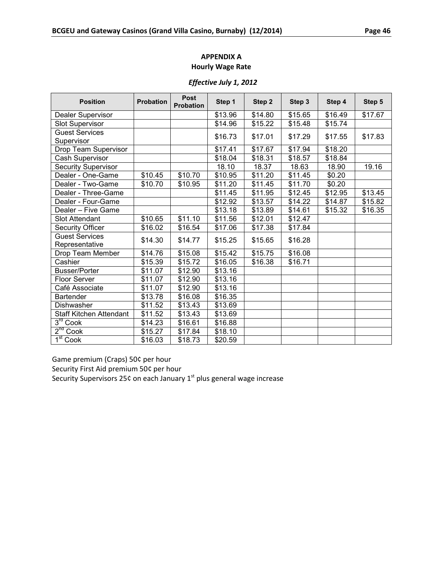# *Effective July 1, 2012*

| <b>Position</b>         | <b>Probation</b> | <b>Post</b><br><b>Probation</b> | Step 1             | Step 2  | Step 3  | Step 4  | Step 5  |
|-------------------------|------------------|---------------------------------|--------------------|---------|---------|---------|---------|
| Dealer Supervisor       |                  |                                 | \$13.96            | \$14.80 | \$15.65 | \$16.49 | \$17.67 |
| <b>Slot Supervisor</b>  |                  |                                 | \$14.96            | \$15.22 | \$15.48 | \$15.74 |         |
| <b>Guest Services</b>   |                  |                                 | \$16.73            | \$17.01 | \$17.29 | \$17.55 | \$17.83 |
| Supervisor              |                  |                                 |                    |         |         |         |         |
| Drop Team Supervisor    |                  |                                 | \$17.41            | \$17.67 | \$17.94 | \$18.20 |         |
| Cash Supervisor         |                  |                                 | \$18.04            | \$18.31 | \$18.57 | \$18.84 |         |
| Security Supervisor     |                  |                                 | 18.10              | 18.37   | 18.63   | 18.90   | 19.16   |
| Dealer - One-Game       | \$10.45          | \$10.70                         | \$10.95            | \$11.20 | \$11.45 | \$0.20  |         |
| Dealer - Two-Game       | \$10.70          | \$10.95                         | \$11.20            | \$11.45 | \$11.70 | \$0.20  |         |
| Dealer - Three-Game     |                  |                                 | \$11.45            | \$11.95 | \$12.45 | \$12.95 | \$13.45 |
| Dealer - Four-Game      |                  |                                 | \$12.92            | \$13.57 | \$14.22 | \$14.87 | \$15.82 |
| Dealer - Five Game      |                  |                                 | \$13.18            | \$13.89 | \$14.61 | \$15.32 | \$16.35 |
| <b>Slot Attendant</b>   | \$10.65          | \$11.10                         | \$11.56            | \$12.01 | \$12.47 |         |         |
| <b>Security Officer</b> | \$16.02          | \$16.54                         | \$17.06            | \$17.38 | \$17.84 |         |         |
| <b>Guest Services</b>   | \$14.30          | \$14.77                         | \$15.25            | \$15.65 | \$16.28 |         |         |
| Representative          |                  |                                 |                    |         |         |         |         |
| Drop Team Member        | \$14.76          | \$15.08                         | \$15.42            | \$15.75 | \$16.08 |         |         |
| Cashier                 | \$15.39          | \$15.72                         | \$16.05<br>\$13.16 | \$16.38 | \$16.71 |         |         |
| <b>Busser/Porter</b>    | \$11.07          | \$12.90                         |                    |         |         |         |         |
| <b>Floor Server</b>     | \$11.07          | \$12.90                         | \$13.16            |         |         |         |         |
| Café Associate          | \$11.07          | \$12.90                         | \$13.16            |         |         |         |         |
| <b>Bartender</b>        | \$13.78          | \$16.08                         | \$16.35            |         |         |         |         |
| Dishwasher              | \$11.52          | \$13.43                         | \$13.69            |         |         |         |         |
| Staff Kitchen Attendant | \$11.52          | \$13.43                         | \$13.69            |         |         |         |         |
| $3rd$ Cook              | \$14.23          | \$16.61                         | \$16.88            |         |         |         |         |
| 2 <sup>nd</sup> Cook    | \$15.27          | \$17.84                         | \$18.10            |         |         |         |         |
| $1st$ Cook              | \$16.03          | \$18.73                         | \$20.59            |         |         |         |         |

Game premium (Craps) 50¢ per hour

Security First Aid premium 50¢ per hour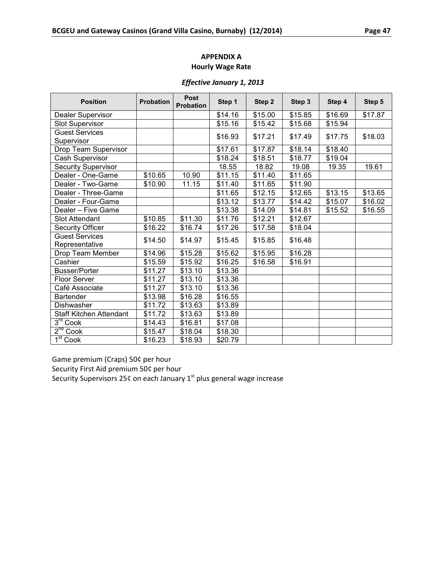#### *Effective January 1, 2013*

| <b>Position</b>                         | <b>Probation</b> | <b>Post</b><br><b>Probation</b> | Step 1              | Step 2  | Step 3  | Step 4  | Step 5  |
|-----------------------------------------|------------------|---------------------------------|---------------------|---------|---------|---------|---------|
| Dealer Supervisor                       |                  |                                 | \$14.16             | \$15.00 | \$15.85 | \$16.69 | \$17.87 |
| <b>Slot Supervisor</b>                  |                  |                                 | \$15.16             | \$15.42 | \$15.68 | \$15.94 |         |
| <b>Guest Services</b>                   |                  |                                 | \$16.93             | \$17.21 | \$17.49 | \$17.75 | \$18.03 |
| Supervisor                              |                  |                                 |                     |         |         |         |         |
| Drop Team Supervisor                    |                  |                                 | \$17.61             | \$17.87 | \$18.14 | \$18.40 |         |
| Cash Supervisor                         |                  |                                 | \$18.24             | \$18.51 | \$18.77 | \$19.04 |         |
| <b>Security Supervisor</b>              |                  |                                 | 18.55               | 18.82   | 19.08   | 19.35   | 19.61   |
| Dealer - One-Game                       | \$10.65          | 10.90                           | \$11.15             | \$11.40 | \$11.65 |         |         |
| Dealer - Two-Game                       | \$10.90          | 11.15                           | \$11.40             | \$11.65 | \$11.90 |         |         |
| Dealer - Three-Game                     |                  |                                 | \$11.65             | \$12.15 | \$12.65 | \$13.15 | \$13.65 |
| Dealer - Four-Game                      |                  |                                 | \$13.12             | \$13.77 | \$14.42 | \$15.07 | \$16.02 |
| Dealer - Five Game                      |                  |                                 | \$13.38             | \$14.09 | \$14.81 | \$15.52 | \$16.55 |
| <b>Slot Attendant</b>                   | \$10.85          | \$11.30                         | \$11.76             | \$12.21 | \$12.67 |         |         |
| <b>Security Officer</b>                 | \$16.22          | \$16.74                         | $\overline{$17.26}$ | \$17.58 | \$18.04 |         |         |
| <b>Guest Services</b><br>Representative | \$14.50          | \$14.97                         | \$15.45             | \$15.85 | \$16.48 |         |         |
| Drop Team Member                        | \$14.96          | \$15.28                         | \$15.62             | \$15.95 | \$16.28 |         |         |
| Cashier                                 | \$15.59          | \$15.92                         | \$16.25             | \$16.58 | \$16.91 |         |         |
| <b>Busser/Porter</b>                    | \$11.27          | \$13.10                         | \$13.36             |         |         |         |         |
| <b>Floor Server</b>                     | \$11.27          | \$13.10                         | \$13.36             |         |         |         |         |
| Café Associate                          | \$11.27          | \$13.10                         | \$13.36             |         |         |         |         |
| <b>Bartender</b>                        | \$13.98          | \$16.28                         | \$16.55             |         |         |         |         |
| Dishwasher                              | \$11.72          | \$13.63                         | \$13.89             |         |         |         |         |
| Staff Kitchen Attendant                 | \$11.72          | \$13.63                         | \$13.89             |         |         |         |         |
| $3rd$ Cook                              | \$14.43          | \$16.81                         | \$17.08             |         |         |         |         |
| 2 <sup>nd</sup> Cook                    | \$15.47          | \$18.04                         | \$18.30             |         |         |         |         |
| 1 <sup>st</sup> Cook                    | \$16.23          | \$18.93                         | \$20.79             |         |         |         |         |

Game premium (Craps) 50¢ per hour

Security First Aid premium 50¢ per hour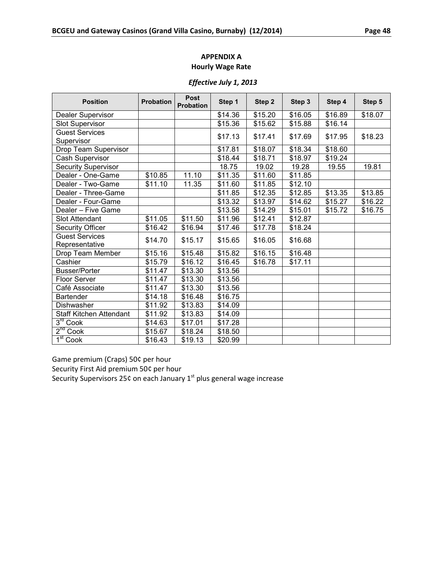# *Effective July 1, 2013*

| <b>Position</b>                | <b>Probation</b> | <b>Post</b><br><b>Probation</b> | Step 1  | Step 2  | Step 3  | Step 4  | Step 5  |
|--------------------------------|------------------|---------------------------------|---------|---------|---------|---------|---------|
| Dealer Supervisor              |                  |                                 | \$14.36 | \$15.20 | \$16.05 | \$16.89 | \$18.07 |
| <b>Slot Supervisor</b>         |                  |                                 | \$15.36 | \$15.62 | \$15.88 | \$16.14 |         |
| <b>Guest Services</b>          |                  |                                 | \$17.13 | \$17.41 | \$17.69 | \$17.95 | \$18.23 |
| Supervisor                     |                  |                                 |         |         |         |         |         |
| Drop Team Supervisor           |                  |                                 | \$17.81 | \$18.07 | \$18.34 | \$18.60 |         |
| Cash Supervisor                |                  |                                 | \$18.44 | \$18.71 | \$18.97 | \$19.24 |         |
| Security Supervisor            |                  |                                 | 18.75   | 19.02   | 19.28   | 19.55   | 19.81   |
| Dealer - One-Game              | \$10.85          | 11.10                           | \$11.35 | \$11.60 | \$11.85 |         |         |
| Dealer - Two-Game              | \$11.10          | 11.35                           | \$11.60 | \$11.85 | \$12.10 |         |         |
| Dealer - Three-Game            |                  |                                 | \$11.85 | \$12.35 | \$12.85 | \$13.35 | \$13.85 |
| Dealer - Four-Game             |                  |                                 | \$13.32 | \$13.97 | \$14.62 | \$15.27 | \$16.22 |
| Dealer - Five Game             |                  |                                 | \$13.58 | \$14.29 | \$15.01 | \$15.72 | \$16.75 |
| <b>Slot Attendant</b>          | \$11.05          | \$11.50                         | \$11.96 | \$12.41 | \$12.87 |         |         |
| <b>Security Officer</b>        | \$16.42          | \$16.94                         | \$17.46 | \$17.78 | \$18.24 |         |         |
| <b>Guest Services</b>          | \$14.70          | \$15.17                         | \$15.65 | \$16.05 | \$16.68 |         |         |
| Representative                 |                  |                                 |         |         |         |         |         |
| Drop Team Member               | \$15.16          | \$15.48                         | \$15.82 | \$16.15 | \$16.48 |         |         |
| Cashier                        | \$15.79          | \$16.12                         | \$16.45 | \$16.78 | \$17.11 |         |         |
| <b>Busser/Porter</b>           | \$11.47          | \$13.30                         | \$13.56 |         |         |         |         |
| Floor Server                   | \$11.47          | \$13.30                         | \$13.56 |         |         |         |         |
| Café Associate                 | \$11.47          | \$13.30                         | \$13.56 |         |         |         |         |
| Bartender                      | \$14.18          | \$16.48                         | \$16.75 |         |         |         |         |
| Dishwasher                     | \$11.92          | \$13.83                         | \$14.09 |         |         |         |         |
| <b>Staff Kitchen Attendant</b> | \$11.92          | \$13.83                         | \$14.09 |         |         |         |         |
| $3rd$ Cook                     | \$14.63          | \$17.01                         | \$17.28 |         |         |         |         |
| $2^{nd}$ Cook                  | \$15.67          | \$18.24                         | \$18.50 |         |         |         |         |
| 1 <sup>st</sup> Co <u>ok</u>   | \$16.43          | \$19.13                         | \$20.99 |         |         |         |         |

Game premium (Craps) 50¢ per hour

Security First Aid premium 50¢ per hour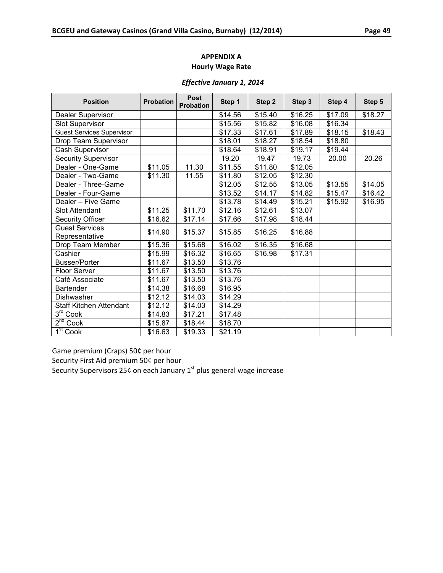#### *Effective January 1, 2014*

| <b>Position</b>                  | <b>Probation</b> | <b>Post</b><br>Probation | Step 1  | Step 2  | Step 3  | Step 4  | Step 5  |
|----------------------------------|------------------|--------------------------|---------|---------|---------|---------|---------|
| Dealer Supervisor                |                  |                          | \$14.56 | \$15.40 | \$16.25 | \$17.09 | \$18.27 |
| <b>Slot Supervisor</b>           |                  |                          | \$15.56 | \$15.82 | \$16.08 | \$16.34 |         |
| <b>Guest Services Supervisor</b> |                  |                          | \$17.33 | \$17.61 | \$17.89 | \$18.15 | \$18.43 |
| Drop Team Supervisor             |                  |                          | \$18.01 | \$18.27 | \$18.54 | \$18.80 |         |
| Cash Supervisor                  |                  |                          | \$18.64 | \$18.91 | \$19.17 | \$19.44 |         |
| <b>Security Supervisor</b>       |                  |                          | 19.20   | 19.47   | 19.73   | 20.00   | 20.26   |
| Dealer - One-Game                | \$11.05          | 11.30                    | \$11.55 | \$11.80 | \$12.05 |         |         |
| Dealer - Two-Game                | \$11.30          | 11.55                    | \$11.80 | \$12.05 | \$12.30 |         |         |
| Dealer - Three-Game              |                  |                          | \$12.05 | \$12.55 | \$13.05 | \$13.55 | \$14.05 |
| Dealer - Four-Game               |                  |                          | \$13.52 | \$14.17 | \$14.82 | \$15.47 | \$16.42 |
| Dealer – Five Game               |                  |                          | \$13.78 | \$14.49 | \$15.21 | \$15.92 | \$16.95 |
| <b>Slot Attendant</b>            | \$11.25          | \$11.70                  | \$12.16 | \$12.61 | \$13.07 |         |         |
| <b>Security Officer</b>          | \$16.62          | \$17.14                  | \$17.66 | \$17.98 | \$18.44 |         |         |
| <b>Guest Services</b>            | \$14.90          | \$15.37                  | \$15.85 | \$16.25 | \$16.88 |         |         |
| Representative                   |                  |                          |         |         |         |         |         |
| Drop Team Member                 | \$15.36          | \$15.68                  | \$16.02 | \$16.35 | \$16.68 |         |         |
| Cashier                          | \$15.99          | \$16.32                  | \$16.65 | \$16.98 | \$17.31 |         |         |
| <b>Busser/Porter</b>             | \$11.67          | \$13.50                  | \$13.76 |         |         |         |         |
| <b>Floor Server</b>              | \$11.67          | \$13.50                  | \$13.76 |         |         |         |         |
| Café Associate                   | \$11.67          | \$13.50                  | \$13.76 |         |         |         |         |
| Bartender                        | \$14.38          | \$16.68                  | \$16.95 |         |         |         |         |
| Dishwasher                       | \$12.12          | \$14.03                  | \$14.29 |         |         |         |         |
| <b>Staff Kitchen Attendant</b>   | \$12.12          | \$14.03                  | \$14.29 |         |         |         |         |
| $3rd$ Cook                       | \$14.83          | \$17.21                  | \$17.48 |         |         |         |         |
| 2 <sup>nd</sup> Cook             | \$15.87          | \$18.44                  | \$18.70 |         |         |         |         |
| 1 <sup>st</sup> Cook             | \$16.63          | \$19.33                  | \$21.19 |         |         |         |         |

Game premium (Craps) 50¢ per hour

Security First Aid premium 50¢ per hour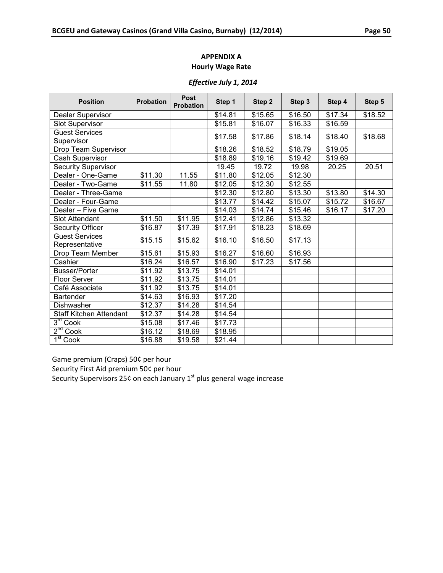# *Effective July 1, 2014*

| <b>Position</b>            | <b>Probation</b> | <b>Post</b><br><b>Probation</b> | Step 1  | Step 2  | Step 3  | Step 4  | Step 5  |
|----------------------------|------------------|---------------------------------|---------|---------|---------|---------|---------|
| Dealer Supervisor          |                  |                                 | \$14.81 | \$15.65 | \$16.50 | \$17.34 | \$18.52 |
| <b>Slot Supervisor</b>     |                  |                                 | \$15.81 | \$16.07 | \$16.33 | \$16.59 |         |
| <b>Guest Services</b>      |                  |                                 | \$17.58 | \$17.86 | \$18.14 | \$18.40 | \$18.68 |
| Supervisor                 |                  |                                 |         |         |         |         |         |
| Drop Team Supervisor       |                  |                                 | \$18.26 | \$18.52 | \$18.79 | \$19.05 |         |
| Cash Supervisor            |                  |                                 | \$18.89 | \$19.16 | \$19.42 | \$19.69 |         |
| <b>Security Supervisor</b> |                  |                                 | 19.45   | 19.72   | 19.98   | 20.25   | 20.51   |
| Dealer - One-Game          | \$11.30          | 11.55                           | \$11.80 | \$12.05 | \$12.30 |         |         |
| Dealer - Two-Game          | \$11.55          | 11.80                           | \$12.05 | \$12.30 | \$12.55 |         |         |
| Dealer - Three-Game        |                  |                                 | \$12.30 | \$12.80 | \$13.30 | \$13.80 | \$14.30 |
| Dealer - Four-Game         |                  |                                 | \$13.77 | \$14.42 | \$15.07 | \$15.72 | \$16.67 |
| Dealer - Five Game         |                  |                                 | \$14.03 | \$14.74 | \$15.46 | \$16.17 | \$17.20 |
| <b>Slot Attendant</b>      | \$11.50          | \$11.95                         | \$12.41 | \$12.86 | \$13.32 |         |         |
| <b>Security Officer</b>    | \$16.87          | \$17.39                         | \$17.91 | \$18.23 | \$18.69 |         |         |
| <b>Guest Services</b>      | \$15.15          | \$15.62                         | \$16.10 | \$16.50 | \$17.13 |         |         |
| Representative             |                  |                                 |         |         |         |         |         |
| Drop Team Member           | \$15.61          | \$15.93                         | \$16.27 | \$16.60 | \$16.93 |         |         |
| Cashier                    | \$16.24          | \$16.57                         | \$16.90 | \$17.23 | \$17.56 |         |         |
| <b>Busser/Porter</b>       | \$11.92          | \$13.75                         | \$14.01 |         |         |         |         |
| <b>Floor Server</b>        | \$11.92          | \$13.75                         | \$14.01 |         |         |         |         |
| Café Associate             | \$11.92          | \$13.75                         | \$14.01 |         |         |         |         |
| <b>Bartender</b>           | \$14.63          | \$16.93                         | \$17.20 |         |         |         |         |
| Dishwasher                 | \$12.37          | \$14.28                         | \$14.54 |         |         |         |         |
| Staff Kitchen Attendant    | \$12.37          | \$14.28                         | \$14.54 |         |         |         |         |
| 3 <sup>rd</sup><br>Cook    | \$15.08          | \$17.46                         | \$17.73 |         |         |         |         |
| 2 <sup>nd</sup> Cook       | \$16.12          | \$18.69                         | \$18.95 |         |         |         |         |
| 1 <sup>st</sup> Cook       | \$16.88          | \$19.58                         | \$21.44 |         |         |         |         |

Game premium (Craps) 50¢ per hour

Security First Aid premium 50¢ per hour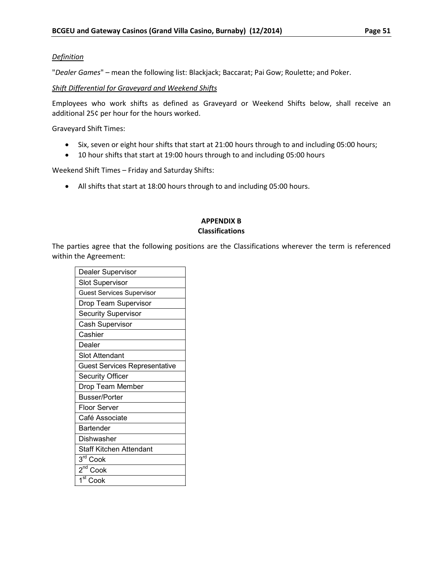#### *Definition*

"*Dealer Games*" – mean the following list: Blackjack; Baccarat; Pai Gow; Roulette; and Poker.

*Shift Differential for Graveyard and Weekend Shifts*

Employees who work shifts as defined as Graveyard or Weekend Shifts below, shall receive an additional 25¢ per hour for the hours worked.

Graveyard Shift Times:

- Six, seven or eight hour shifts that start at 21:00 hours through to and including 05:00 hours;
- 10 hour shifts that start at 19:00 hours through to and including 05:00 hours

Weekend Shift Times – Friday and Saturday Shifts:

• All shifts that start at 18:00 hours through to and including 05:00 hours.

# **APPENDIX B Classifications**

<span id="page-55-0"></span>The parties agree that the following positions are the Classifications wherever the term is referenced within the Agreement:

| Dealer Supervisor                    |  |  |  |  |
|--------------------------------------|--|--|--|--|
| <b>Slot Supervisor</b>               |  |  |  |  |
| <b>Guest Services Supervisor</b>     |  |  |  |  |
| Drop Team Supervisor                 |  |  |  |  |
| <b>Security Supervisor</b>           |  |  |  |  |
| Cash Supervisor                      |  |  |  |  |
| Cashier                              |  |  |  |  |
| Dealer                               |  |  |  |  |
| <b>Slot Attendant</b>                |  |  |  |  |
| <b>Guest Services Representative</b> |  |  |  |  |
| <b>Security Officer</b>              |  |  |  |  |
| Drop Team Member                     |  |  |  |  |
| <b>Busser/Porter</b>                 |  |  |  |  |
| <b>Floor Server</b>                  |  |  |  |  |
| Café Associate                       |  |  |  |  |
| Bartender                            |  |  |  |  |
| Dishwasher                           |  |  |  |  |
| <b>Staff Kitchen Attendant</b>       |  |  |  |  |
| 3rd Cook                             |  |  |  |  |
| $\overline{2}^{\text{nd}}$ Cook      |  |  |  |  |
| $\overline{1}^{\rm st}$ Cook         |  |  |  |  |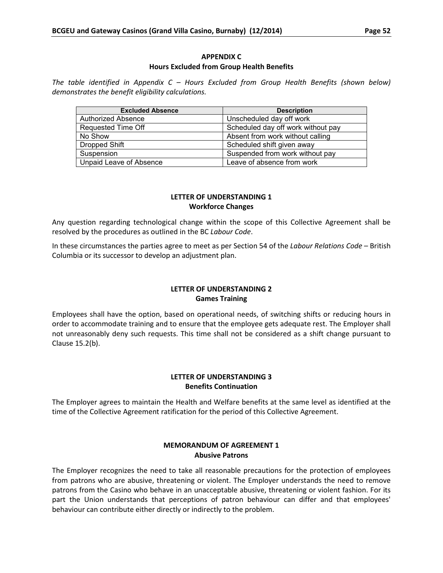#### **APPENDIX C Hours Excluded from Group Health Benefits**

<span id="page-56-0"></span>*The table identified in Appendix C – Hours Excluded from Group Health Benefits (shown below) demonstrates the benefit eligibility calculations.*

| <b>Excluded Absence</b>        | <b>Description</b>                 |
|--------------------------------|------------------------------------|
| Authorized Absence             | Unscheduled day off work           |
| Requested Time Off             | Scheduled day off work without pay |
| No Show                        | Absent from work without calling   |
| Dropped Shift                  | Scheduled shift given away         |
| Suspension                     | Suspended from work without pay    |
| <b>Unpaid Leave of Absence</b> | Leave of absence from work         |

### **LETTER OF UNDERSTANDING 1 Workforce Changes**

<span id="page-56-1"></span>Any question regarding technological change within the scope of this Collective Agreement shall be resolved by the procedures as outlined in the BC *Labour Code*.

In these circumstances the parties agree to meet as per Section 54 of the *Labour Relations Code* – British Columbia or its successor to develop an adjustment plan.

# **LETTER OF UNDERSTANDING 2 Games Training**

<span id="page-56-2"></span>Employees shall have the option, based on operational needs, of switching shifts or reducing hours in order to accommodate training and to ensure that the employee gets adequate rest. The Employer shall not unreasonably deny such requests. This time shall not be considered as a shift change pursuant to Clause 15.2(b).

# **LETTER OF UNDERSTANDING 3 Benefits Continuation**

<span id="page-56-3"></span>The Employer agrees to maintain the Health and Welfare benefits at the same level as identified at the time of the Collective Agreement ratification for the period of this Collective Agreement.

#### **MEMORANDUM OF AGREEMENT 1 Abusive Patrons**

<span id="page-56-4"></span>The Employer recognizes the need to take all reasonable precautions for the protection of employees from patrons who are abusive, threatening or violent. The Employer understands the need to remove patrons from the Casino who behave in an unacceptable abusive, threatening or violent fashion. For its part the Union understands that perceptions of patron behaviour can differ and that employees' behaviour can contribute either directly or indirectly to the problem.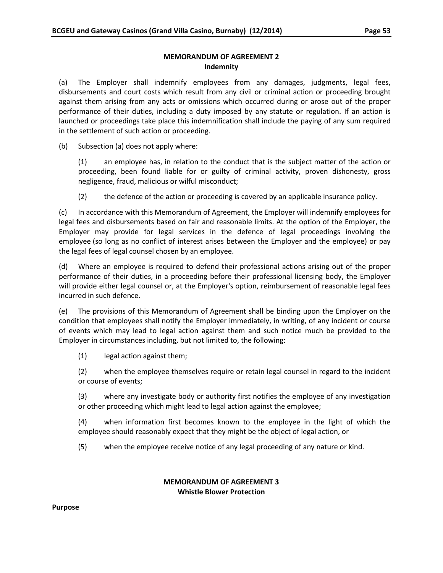#### **MEMORANDUM OF AGREEMENT 2 Indemnity**

<span id="page-57-0"></span>(a) The Employer shall indemnify employees from any damages, judgments, legal fees, disbursements and court costs which result from any civil or criminal action or proceeding brought against them arising from any acts or omissions which occurred during or arose out of the proper performance of their duties, including a duty imposed by any statute or regulation. If an action is launched or proceedings take place this indemnification shall include the paying of any sum required in the settlement of such action or proceeding.

(b) Subsection (a) does not apply where:

(1) an employee has, in relation to the conduct that is the subject matter of the action or proceeding, been found liable for or guilty of criminal activity, proven dishonesty, gross negligence, fraud, malicious or wilful misconduct;

(2) the defence of the action or proceeding is covered by an applicable insurance policy.

(c) In accordance with this Memorandum of Agreement, the Employer will indemnify employees for legal fees and disbursements based on fair and reasonable limits. At the option of the Employer, the Employer may provide for legal services in the defence of legal proceedings involving the employee (so long as no conflict of interest arises between the Employer and the employee) or pay the legal fees of legal counsel chosen by an employee.

(d) Where an employee is required to defend their professional actions arising out of the proper performance of their duties, in a proceeding before their professional licensing body, the Employer will provide either legal counsel or, at the Employer's option, reimbursement of reasonable legal fees incurred in such defence.

(e) The provisions of this Memorandum of Agreement shall be binding upon the Employer on the condition that employees shall notify the Employer immediately, in writing, of any incident or course of events which may lead to legal action against them and such notice much be provided to the Employer in circumstances including, but not limited to, the following:

(1) legal action against them;

(2) when the employee themselves require or retain legal counsel in regard to the incident or course of events;

(3) where any investigate body or authority first notifies the employee of any investigation or other proceeding which might lead to legal action against the employee;

(4) when information first becomes known to the employee in the light of which the employee should reasonably expect that they might be the object of legal action, or

(5) when the employee receive notice of any legal proceeding of any nature or kind.

#### **MEMORANDUM OF AGREEMENT 3 Whistle Blower Protection**

#### <span id="page-57-1"></span>**Purpose**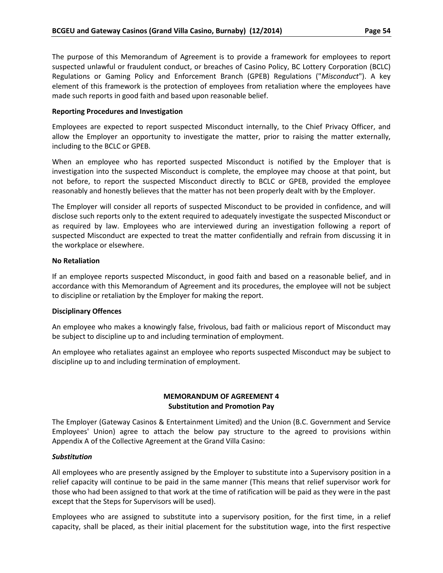The purpose of this Memorandum of Agreement is to provide a framework for employees to report suspected unlawful or fraudulent conduct, or breaches of Casino Policy, BC Lottery Corporation (BCLC) Regulations or Gaming Policy and Enforcement Branch (GPEB) Regulations ("*Misconduct*"). A key element of this framework is the protection of employees from retaliation where the employees have made such reports in good faith and based upon reasonable belief.

#### **Reporting Procedures and Investigation**

Employees are expected to report suspected Misconduct internally, to the Chief Privacy Officer, and allow the Employer an opportunity to investigate the matter, prior to raising the matter externally, including to the BCLC or GPEB.

When an employee who has reported suspected Misconduct is notified by the Employer that is investigation into the suspected Misconduct is complete, the employee may choose at that point, but not before, to report the suspected Misconduct directly to BCLC or GPEB, provided the employee reasonably and honestly believes that the matter has not been properly dealt with by the Employer.

The Employer will consider all reports of suspected Misconduct to be provided in confidence, and will disclose such reports only to the extent required to adequately investigate the suspected Misconduct or as required by law. Employees who are interviewed during an investigation following a report of suspected Misconduct are expected to treat the matter confidentially and refrain from discussing it in the workplace or elsewhere.

#### **No Retaliation**

If an employee reports suspected Misconduct, in good faith and based on a reasonable belief, and in accordance with this Memorandum of Agreement and its procedures, the employee will not be subject to discipline or retaliation by the Employer for making the report.

#### **Disciplinary Offences**

An employee who makes a knowingly false, frivolous, bad faith or malicious report of Misconduct may be subject to discipline up to and including termination of employment.

An employee who retaliates against an employee who reports suspected Misconduct may be subject to discipline up to and including termination of employment.

# **MEMORANDUM OF AGREEMENT 4 Substitution and Promotion Pay**

<span id="page-58-0"></span>The Employer (Gateway Casinos & Entertainment Limited) and the Union (B.C. Government and Service Employees' Union) agree to attach the below pay structure to the agreed to provisions within Appendix A of the Collective Agreement at the Grand Villa Casino:

#### *Substitution*

All employees who are presently assigned by the Employer to substitute into a Supervisory position in a relief capacity will continue to be paid in the same manner (This means that relief supervisor work for those who had been assigned to that work at the time of ratification will be paid as they were in the past except that the Steps for Supervisors will be used).

Employees who are assigned to substitute into a supervisory position, for the first time, in a relief capacity, shall be placed, as their initial placement for the substitution wage, into the first respective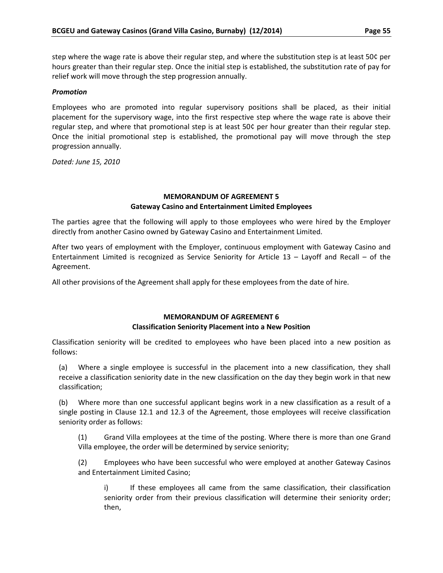step where the wage rate is above their regular step, and where the substitution step is at least 50¢ per hours greater than their regular step. Once the initial step is established, the substitution rate of pay for relief work will move through the step progression annually.

#### *Promotion*

Employees who are promoted into regular supervisory positions shall be placed, as their initial placement for the supervisory wage, into the first respective step where the wage rate is above their regular step, and where that promotional step is at least 50¢ per hour greater than their regular step. Once the initial promotional step is established, the promotional pay will move through the step progression annually.

*Dated: June 15, 2010*

#### **MEMORANDUM OF AGREEMENT 5 Gateway Casino and Entertainment Limited Employees**

<span id="page-59-0"></span>The parties agree that the following will apply to those employees who were hired by the Employer directly from another Casino owned by Gateway Casino and Entertainment Limited.

After two years of employment with the Employer, continuous employment with Gateway Casino and Entertainment Limited is recognized as Service Seniority for Article 13 – Layoff and Recall – of the Agreement.

All other provisions of the Agreement shall apply for these employees from the date of hire.

# **MEMORANDUM OF AGREEMENT 6 Classification Seniority Placement into a New Position**

<span id="page-59-1"></span>Classification seniority will be credited to employees who have been placed into a new position as follows:

(a) Where a single employee is successful in the placement into a new classification, they shall receive a classification seniority date in the new classification on the day they begin work in that new classification;

(b) Where more than one successful applicant begins work in a new classification as a result of a single posting in Clause 12.1 and 12.3 of the Agreement, those employees will receive classification seniority order as follows:

(1) Grand Villa employees at the time of the posting. Where there is more than one Grand Villa employee, the order will be determined by service seniority;

(2) Employees who have been successful who were employed at another Gateway Casinos and Entertainment Limited Casino;

i) If these employees all came from the same classification, their classification seniority order from their previous classification will determine their seniority order; then,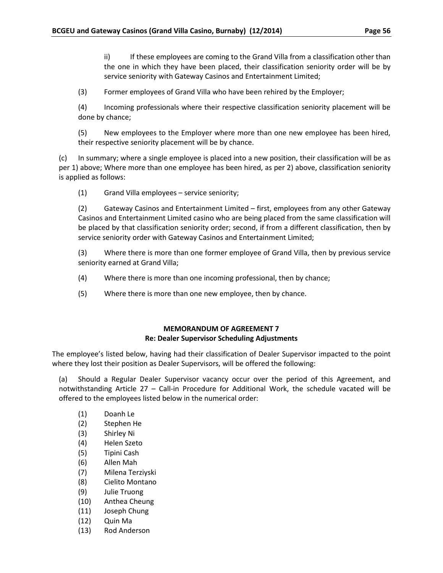ii) If these employees are coming to the Grand Villa from a classification other than the one in which they have been placed, their classification seniority order will be by service seniority with Gateway Casinos and Entertainment Limited;

(3) Former employees of Grand Villa who have been rehired by the Employer;

(4) Incoming professionals where their respective classification seniority placement will be done by chance;

(5) New employees to the Employer where more than one new employee has been hired, their respective seniority placement will be by chance.

(c) In summary; where a single employee is placed into a new position, their classification will be as per 1) above; Where more than one employee has been hired, as per 2) above, classification seniority is applied as follows:

(1) Grand Villa employees – service seniority;

(2) Gateway Casinos and Entertainment Limited – first, employees from any other Gateway Casinos and Entertainment Limited casino who are being placed from the same classification will be placed by that classification seniority order; second, if from a different classification, then by service seniority order with Gateway Casinos and Entertainment Limited;

(3) Where there is more than one former employee of Grand Villa, then by previous service seniority earned at Grand Villa;

- (4) Where there is more than one incoming professional, then by chance;
- (5) Where there is more than one new employee, then by chance.

#### **MEMORANDUM OF AGREEMENT 7 Re: Dealer Supervisor Scheduling Adjustments**

<span id="page-60-0"></span>The employee's listed below, having had their classification of Dealer Supervisor impacted to the point where they lost their position as Dealer Supervisors, will be offered the following:

(a) Should a Regular Dealer Supervisor vacancy occur over the period of this Agreement, and notwithstanding Article 27 – Call-in Procedure for Additional Work, the schedule vacated will be offered to the employees listed below in the numerical order:

- (1) Doanh Le
- (2) Stephen He
- (3) Shirley Ni
- (4) Helen Szeto
- (5) Tipini Cash
- (6) Allen Mah
- (7) Milena Terziyski
- (8) Cielito Montano
- (9) Julie Truong
- (10) Anthea Cheung
- (11) Joseph Chung
- (12) Quin Ma
- (13) Rod Anderson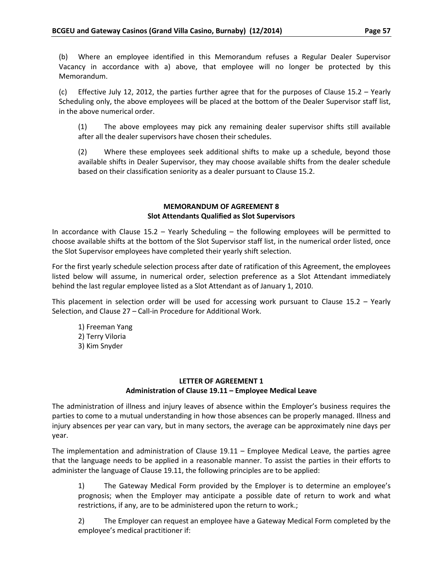(b) Where an employee identified in this Memorandum refuses a Regular Dealer Supervisor Vacancy in accordance with a) above, that employee will no longer be protected by this Memorandum.

(c) Effective July 12, 2012, the parties further agree that for the purposes of Clause 15.2 – Yearly Scheduling only, the above employees will be placed at the bottom of the Dealer Supervisor staff list, in the above numerical order.

(1) The above employees may pick any remaining dealer supervisor shifts still available after all the dealer supervisors have chosen their schedules.

(2) Where these employees seek additional shifts to make up a schedule, beyond those available shifts in Dealer Supervisor, they may choose available shifts from the dealer schedule based on their classification seniority as a dealer pursuant to Clause 15.2.

# **MEMORANDUM OF AGREEMENT 8 Slot Attendants Qualified as Slot Supervisors**

<span id="page-61-0"></span>In accordance with Clause 15.2 – Yearly Scheduling – the following employees will be permitted to choose available shifts at the bottom of the Slot Supervisor staff list, in the numerical order listed, once the Slot Supervisor employees have completed their yearly shift selection.

For the first yearly schedule selection process after date of ratification of this Agreement, the employees listed below will assume, in numerical order, selection preference as a Slot Attendant immediately behind the last regular employee listed as a Slot Attendant as of January 1, 2010.

This placement in selection order will be used for accessing work pursuant to Clause  $15.2$  – Yearly Selection, and Clause 27 – Call-in Procedure for Additional Work.

- 1) Freeman Yang
- 2) Terry Viloria
- 3) Kim Snyder

# **LETTER OF AGREEMENT 1 Administration of Clause 19.11 – Employee Medical Leave**

<span id="page-61-1"></span>The administration of illness and injury leaves of absence within the Employer's business requires the parties to come to a mutual understanding in how those absences can be properly managed. Illness and injury absences per year can vary, but in many sectors, the average can be approximately nine days per year.

The implementation and administration of Clause 19.11 – Employee Medical Leave, the parties agree that the language needs to be applied in a reasonable manner. To assist the parties in their efforts to administer the language of Clause 19.11, the following principles are to be applied:

1) The Gateway Medical Form provided by the Employer is to determine an employee's prognosis; when the Employer may anticipate a possible date of return to work and what restrictions, if any, are to be administered upon the return to work.;

2) The Employer can request an employee have a Gateway Medical Form completed by the employee's medical practitioner if: